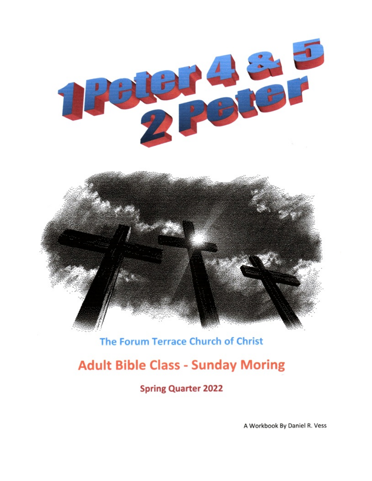

# The Forum Terrace Church of Christ

# **Adult Bible Class - Sunday Moring**

**Spring Quarter 2022** 

A Workbook By Daniel R. Vess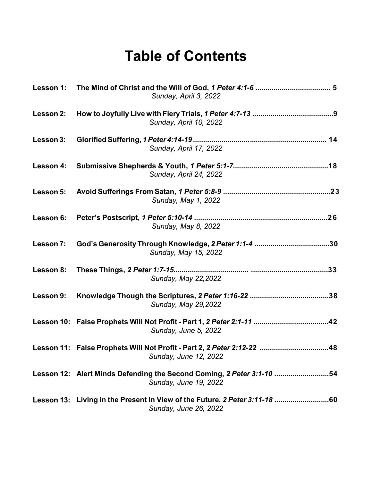# **Table of Contents**

|           | Sunday, April 3, 2022                                                                           |
|-----------|-------------------------------------------------------------------------------------------------|
| Lesson 2: | Sunday, April 10, 2022                                                                          |
| Lesson 3: | Sunday, April 17, 2022                                                                          |
| Lesson 4: | Sunday, April 24, 2022                                                                          |
| Lesson 5: | Sunday, May 1, 2022                                                                             |
| Lesson 6: | Sunday, May 8, 2022                                                                             |
| Lesson 7: | God's Generosity Through Knowledge, 2 Peter 1:1-4 30<br>Sunday, May 15, 2022                    |
| Lesson 8: | Sunday, May 22, 2022                                                                            |
| Lesson 9: | Sunday, May 29, 2022                                                                            |
|           | Sunday, June 5, 2022                                                                            |
|           | Lesson 11: False Prophets Will Not Profit - Part 2, 2 Peter 2:12-22 48<br>Sunday, June 12, 2022 |
|           | Lesson 12: Alert Minds Defending the Second Coming, 2 Peter 3:1-10 54<br>Sunday, June 19, 2022  |
|           | Sunday, June 26, 2022                                                                           |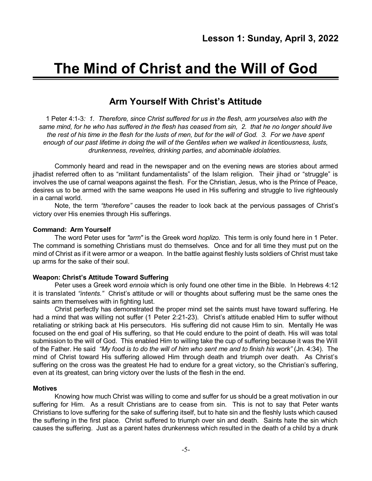# **The Mind of Christ and the Will of God**

# **Arm Yourself With Christ's Attitude**

1 Peter 4:1-3*: 1. Therefore, since Christ suffered for us in the flesh, arm yourselves also with the* same mind, for he who has suffered in the flesh has ceased from sin, 2, that he no longer should live the rest of his time in the flesh for the lusts of men, but for the will of God. 3. For we have spent *enough of our past lifetime in doing the will of the Gentiles when we walked in licentiousness, lusts, drunkenness, revelries, drinking parties, and abominable idolatries.*

Commonly heard and read in the newspaper and on the evening news are stories about armed jihadist referred often to as "militant fundamentalists" of the Islam religion. Their jihad or "struggle" is involves the use of carnal weapons against the flesh. For the Christian, Jesus, who is the Prince of Peace, desires us to be armed with the same weapons He used in His suffering and struggle to live righteously in a carnal world.

Note, the term *"therefore"* causes the reader to look back at the pervious passages of Christ's victory over His enemies through His sufferings.

#### **Command: Arm Yourself**

The word Peter uses for *"arm"* is the Greek word *hoplizo.* This term is only found here in 1 Peter. The command is something Christians must do themselves. Once and for all time they must put on the mind of Christ as if it were armor or a weapon. In the battle against fleshly lusts soldiers of Christ must take up arms for the sake of their soul.

#### **Weapon: Christ's Attitude Toward Suffering**

Peter uses a Greek word *ennoia* which is only found one other time in the Bible. In Hebrews 4:12 it is translated *"intents."* Christ's attitude or will or thoughts about suffering must be the same ones the saints arm themselves with in fighting lust.

Christ perfectly has demonstrated the proper mind set the saints must have toward suffering. He had a mind that was willing not suffer (1 Peter 2:21-23). Christ's attitude enabled Him to suffer without retaliating or striking back at His persecutors. His suffering did not cause Him to sin. Mentally He was focused on the end goal of His suffering, so that He could endure to the point of death. His will was total submission to the will of God. This enabled Him to willing take the cup of suffering because it was the Will of the Father. He said *"My food is to do the will of him who sent me and to finish his work"* (Jn. 4:34). The mind of Christ toward His suffering allowed Him through death and triumph over death. As Christ's suffering on the cross was the greatest He had to endure for a great victory, so the Christian's suffering, even at its greatest, can bring victory over the lusts of the flesh in the end.

#### **Motives**

Knowing how much Christ was willing to come and suffer for us should be a great motivation in our suffering for Him. As a result Christians are to cease from sin. This is not to say that Peter wants Christians to love suffering for the sake of suffering itself, but to hate sin and the fleshly lusts which caused the suffering in the first place. Christ suffered to triumph over sin and death. Saints hate the sin which causes the suffering. Just as a parent hates drunkenness which resulted in the death of a child by a drunk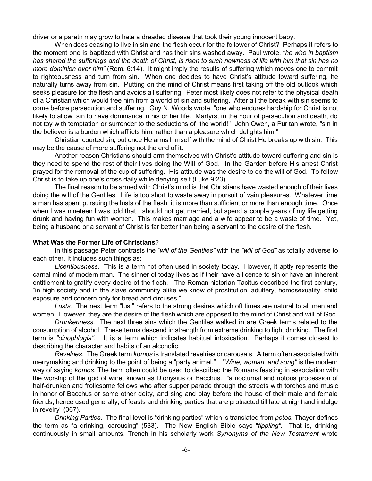driver or a paretn may grow to hate a dreaded disease that took their young innocent baby.

When does ceasing to live in sin and the flesh occur for the follower of Christ? Perhaps it refers to the moment one is baptized with Christ and has their sins washed away. Paul wrote, *"he who in baptism* has shared the sufferings and the death of Christ, is risen to such newness of life with him that sin has no *more dominion over him"* (Rom. 6:14). It might imply the results of suffering which moves one to commit to righteousness and turn from sin. When one decides to have Christ's attitude toward suffering, he naturally turns away from sin. Putting on the mind of Christ means first taking off the old outlook which seeks pleasure for the flesh and avoids all suffering. Peter most likely does not refer to the physical death of a Christian which would free him from a world of sin and suffering. After all the break with sin seems to come before persecution and suffering. Guy N. Woods wrote, "one who endures hardship for Christ is not likely to allow sin to have dominance in his or her life. Martyrs, in the hour of persecution and death, do not toy with temptation or surrender to the seductions of the world!" John Owen, a Puritan wrote, "sin in the believer is a burden which afflicts him, rather than a pleasure which delights him."

Christian courted sin, but once He arms himself with the mind of Christ He breaks up with sin. This may be the cause of more suffering not the end of it.

Another reason Christians should arm themselves with Christ's attitude toward suffering and sin is they need to spend the rest of their lives doing the Will of God. In the Garden before His arrest Christ prayed for the removal of the cup of suffering. His attitude was the desire to do the will of God. To follow Christ is to take up one's cross daily while denying self (Luke 9:23).

The final reason to be armed with Christ's mind is that Christians have wasted enough of their lives doing the will of the Gentiles. Life is too short to waste away in pursuit of vain pleasures. Whatever time a man has spent pursuing the lusts of the flesh, it is more than sufficient or more than enough time. Once when I was nineteen I was told that I should not get married, but spend a couple years of my life getting drunk and having fun with women. This makes marriage and a wife appear to be a waste of time. Yet, being a husband or a servant of Christ is far better than being a servant to the desire of the flesh.

#### **What Was the Former Life of Christians**?

In this passage Peter contrasts the *"will of the Gentiles"* with the *"will of God"* as totally adverse to each other. It includes such things as:

*Licentiousness.* This is a term not often used in society today. However, it aptly represents the carnal mind of modern man. The sinner of today lives as if their have a licence to sin or have an inherent entitlement to gratify every desire of the flesh. The Roman historian Tacitus described the first century, "in high society and in the slave community alike we know of prostitution, adultery, homosexuality, child exposure and concern only for bread and circuses."

*Lusts.* The next term "lust" refers to the strong desires which oft times are natural to all men and women. However, they are the desire of the flesh which are opposed to the mind of Christ and will of God.

*Drunkenness*. The next three sins which the Gentiles walked in are Greek terms related to the consumption of alcohol. These terms descend in strength from extreme drinking to light drinking. The first term is *"oinophlugia".* It is a term which indicates habitual intoxication. Perhaps it comes closest to describing the character and habits of an alcoholic.

*Revelries.* The Greek term *komos* is translated revelries or carousals. A term often associated with merrymaking and drinking to the point of being a "party animal." "*Wine, woman, and song"* is the modern way of saying *komos.* The term often could be used to described the Romans feasting in association with the worship of the god of wine, known as Dionysius or Bacchus. "a nocturnal and riotous procession of half-drunken and frolicsome fellows who after supper parade through the streets with torches and music in honor of Bacchus or some other deity, and sing and play before the house of their male and female friends; hence used generally, of feasts and drinking parties that are protracted till late at night and indulge in revelry" (367).

*Drinking Parties*. The final level is "drinking parties" which is translated from *potos.* Thayer defines the term as "a drinking, carousing" (533). The New English Bible says "*tippling".* That is, drinking continuously in small amounts. Trench in his scholarly work *Synonyms of the New Testament* wrote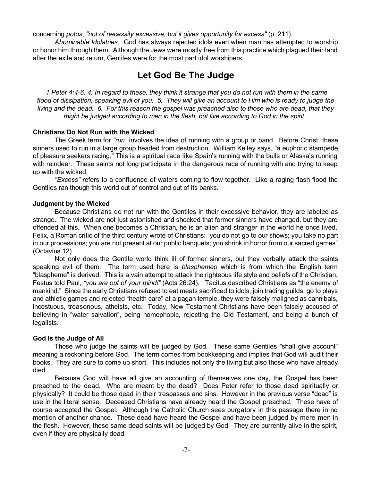concerning *potos*, *"not of necessity excessive, but it gives opportunity for excess"* (p. 211).

*Abominable Idolatries*. God has always rejected idols even when man has attempted to worship or honor him through them. Although the Jews were mostly free from this practice which plagued their land after the exile and return, Gentiles were for the most part idol worshipers.

# **Let God Be The Judge**

1 Peter 4:4-6: 4. In regard to these, they think it strange that you do not run with them in the same flood of dissipation, speaking evil of you. 5. They will give an account to Him who is ready to judge the living and the dead. 6. For this reason the gospel was preached also to those who are dead, that they *might be judged according to men in the flesh, but live according to God in the spirit.*

#### **Christians Do Not Run with the Wicked**

The Greek term for *"run"* involves the idea of running with a group or band. Before Christ, these sinners used to run in a large group headed from destruction. William Kelley says, "a euphoric stampede of pleasure seekers racing." This is a spiritual race like Spain's running with the bulls or Alaska's running with reindeer. These saints not long participate in the dangerous race of running with and trying to keep up with the wicked.

*"Excess"* refers to a confluence of waters coming to flow together. Like a raging flash flood the Gentiles ran though this world out of control and out of its banks.

#### **Judgment by the Wicked**

Because Christians do not run with the Gentiles in their excessive behavior, they are labeled as strange. The wicked are not just astonished and shocked that former sinners have changed, but they are offended at this. When one becomes a Christian, he is an alien and stranger in the world he once lived. Felix, a Roman critic of the third century wrote of Christians: "you do not go to our shows; you take no part in our processions; you are not present at our public banquets; you shrink in horror from our sacred games" (Octavius 12).

Not only does the Gentile world think ill of former sinners, but they verbally attack the saints speaking evil of them. The term used here is *blasphemeo* which is from which the English term "blaspheme" is derived. This is a vain attempt to attack the righteous life style and beliefs of the Christian. Festus told Paul, *"you are out of your mind!"* (Acts 26:24). Tacitus described Christians as "the enemy of mankind." Since the early Christians refused to eat meats sacrificed to idols, join trading guilds, go to plays and athletic games and rejected "health care" at a pagan temple, they were falsely maligned as cannibals, incestuous, treasonous, atheists, etc. Today, New Testament Christians have been falsely accused of believing in "water salvation", being homophobic, rejecting the Old Testament, and being a bunch of legalists.

#### **God Is the Judge of All**

Those who judge the saints will be judged by God. These same Gentiles "shall give account" meaning a reckoning before God. The term comes from bookkeeping and implies that God will audit their books. They are sure to come up short. This includes not only the living but also those who have already died.

Because God will have all give an accounting of themselves one day, the Gospel has been preached to the dead. Who are meant by the dead? Does Peter refer to those dead spiritually or physically? It could be those dead in their trespasses and sins. However in the previous verse "dead" is use in the literal sense. Deceased Christians have already heard the Gospel preached. These have of course accepted the Gospel. Although the Catholic Church sees purgatory in this passage there in no mention of another chance. These dead have heard the Gospel and have been judged by mere men in the flesh. However, these same dead saints will be judged by God. They are currently alive in the spirit, even if they are physically dead.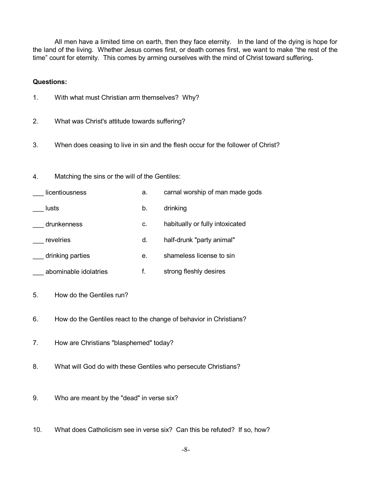All men have a limited time on earth, then they face eternity. In the land of the dying is hope for the land of the living. Whether Jesus comes first, or death comes first, we want to make "the rest of the time" count for eternity. This comes by arming ourselves with the mind of Christ toward suffering**.**

#### **Questions:**

- 1. With what must Christian arm themselves? Why?
- 2. What was Christ's attitude towards suffering?
- 3. When does ceasing to live in sin and the flesh occur for the follower of Christ?
- 4. Matching the sins or the will of the Gentiles:

| licentiousness        | a. | carnal worship of man made gods |
|-----------------------|----|---------------------------------|
| lusts                 | b. | drinking                        |
| drunkenness           | c. | habitually or fully intoxicated |
| revelries             | d. | half-drunk "party animal"       |
| drinking parties      | е. | shameless license to sin        |
| abominable idolatries |    | strong fleshly desires          |

- 5. How do the Gentiles run?
- 6. How do the Gentiles react to the change of behavior in Christians?
- 7. How are Christians "blasphemed" today?
- 8. What will God do with these Gentiles who persecute Christians?
- 9. Who are meant by the "dead" in verse six?
- 10. What does Catholicism see in verse six? Can this be refuted? If so, how?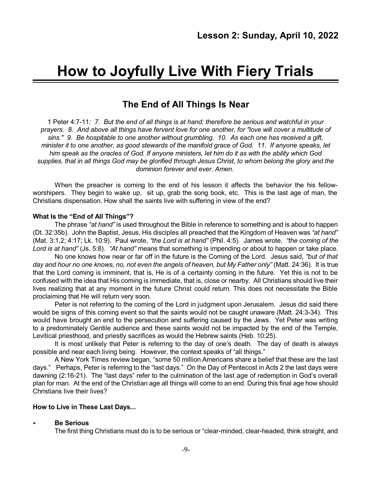# **How to Joyfully Live With Fiery Trials**

# **The End of All Things Is Near**

1 Peter 4:7-11*: 7. But the end of all things is at hand; therefore be serious and watchful in your prayers. 8. And above all things have fervent love for one another, for "love will cover a multitude of sins.'' 9. Be hospitable to one another without grumbling. 10. As each one has received a gift,* minister it to one another, as good stewards of the manifold grace of God. 11. If anyone speaks, let him speak as the oracles of God. If anyone ministers, let him do it as with the ability which God supplies, that in all things God may be glorified through Jesus Christ, to whom belong the glory and the *dominion forever and ever. Amen.*

When the preacher is coming to the end of his lesson it affects the behavior the his fellowworshipers. They begin to wake up, sit up, grab the song book, etc. This is the last age of man, the Christians dispensation. How shall the saints live with suffering in view of the end?

#### **What Is the "End of All Things"?**

The phrase *"at hand"* is used throughout the Bible in reference to something and is about to happen (Dt. 32:35b). John the Baptist, Jesus, His disciples all preached that the Kingdom of Heaven was *"at hand"* (Mat. 3:1,2; 4:17; Lk. 10:9). Paul wrote, *"the Lord is at hand"* (Phil. 4:5). James wrote, *"the coming of the Lord is at hand"* (Js. 5:8). *"At hand"* means that something is impending or about to happen or take place.

No one knows how near or far off in the future is the Coming of the Lord. Jesus said, *"but of that* day and hour no one knows, no, not even the angels of heaven, but My Father only" (Matt. 24:36). It is true that the Lord coming is imminent, that is, He is of a certainty coming in the future. Yet this is not to be confused with the idea that His coming is immediate, that is, close or nearby. All Christians should live their lives realizing that at any moment in the future Christ could return. This does not necessitate the Bible proclaiming that He will return very soon.

Peter is not referring to the coming of the Lord in judgment upon Jerusalem. Jesus did said there would be signs of this coming event so that the saints would not be caught unaware (Matt. 24:3-34). This would have brought an end to the persecution and suffering caused by the Jews. Yet Peter was writing to a predominately Gentile audience and these saints would not be impacted by the end of the Temple, Levitical priesthood, and priestly sacrifices as would the Hebrew saints (Heb. 10:25).

It is most unlikely that Peter is referring to the day of one's death. The day of death is always possible and near each living being. However, the context speaks of "all things."

A New York Times review began, "some 50 million Americans share a belief that these are the last days." Perhaps, Peter is referring to the "last days." On the Day of Pentecost in Acts 2 the last days were dawning (2:16-21). The "last days" refer to the culmination of the last age of redemption in God's overall plan for man. At the end of the Christian age all things will come to an end. During this final age how should Christians live their lives?

#### **How to Live in These Last Days...**

#### < **Be Serious**

The first thing Christians must do is to be serious or "clear-minded, clear-headed, think straight, and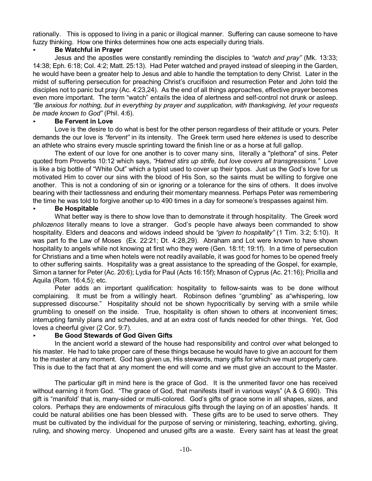rationally. This is opposed to living in a panic or illogical manner. Suffering can cause someone to have fuzzy thinking. How one thinks determines how one acts especially during trials.

# < **Be Watchful in Prayer**

Jesus and the apostles were constantly reminding the disciples to *"watch and pray"* (Mk. 13:33; 14:38; Eph. 6:18; Col. 4:2; Matt. 25:13). Had Peter watched and prayed instead of sleeping in the Garden, he would have been a greater help to Jesus and able to handle the temptation to deny Christ. Later in the midst of suffering persecution for preaching Christ's crucifixion and resurrection Peter and John told the disciples not to panic but pray (Ac. 4:23,24). As the end of all things approaches, effective prayer becomes even more important. The term "watch" entails the idea of alertness and self-control not drunk or asleep. *"Be anxious for nothing, but in everything by prayer and supplication, with thanksgiving, let your requests be made known to God"* (Phil. 4:6).

# < **Be Fervent in Love**

Love is the desire to do what is best for the other person regardless of their attitude or yours. Peter demands the our love is *"fervent"* in its intensity. The Greek term used here *ektenes* is used to describe an athlete who strains every muscle sprinting toward the finish line or as a horse at full gallop.

The extent of our love for one another is to cover many sins, literally a "plethora" of sins. Peter quoted from Proverbs 10:12 which says, *"Hatred stirs up strife, but love covers all transgressions."* Love is like a big bottle of "White Out" which a typist used to cover up their typos. Just us the God's love for us motivated Him to cover our sins with the blood of His Son, so the saints must be willing to forgive one another. This is not a condoning of sin or ignoring or a tolerance for the sins of others. It does involve bearing with their tactlessness and enduring their momentary meanness. Perhaps Peter was remembering the time he was told to forgive another up to 490 times in a day for someone's trespasses against him.

# < **Be Hospitable**

What better way is there to show love than to demonstrate it through hospitality. The Greek word *philozenos* literally means to love a stranger. God's people have always been commanded to show hospitality. Elders and deacons and widows indeed should be *"given to hospitality"* (1 Tim. 3:2; 5:10). It was part fo the Law of Moses (Ex. 22:21; Dt. 4:28,29). Abraham and Lot were known to have shown hospitality to angels while not knowing at first who they were (Gen. 18:1f; 19:1f). In a time of persecution for Christians and a time when hotels were not readily available, it was good for homes to be opened freely to other suffering saints. Hospitality was a great assistance to the spreading of the Gospel, for example, Simon a tanner for Peter (Ac. 20:6); Lydia for Paul (Acts 16:15f); Mnason of Cyprus (Ac. 21:16); Pricilla and Aquila (Rom. 16:4,5); etc.

Peter adds an important qualification: hospitality to fellow-saints was to be done without complaining. It must be from a willingly heart. Robinson defines "grumbling" as a"whispering, low suppressed discourse." Hospitality should not be shown hypocritically by serving with a smile while grumbling to oneself on the inside. True, hospitality is often shown to others at inconvenient times; interrupting family plans and schedules, and at an extra cost of funds needed for other things. Yet, God loves a cheerful giver (2 Cor. 9:7).

# < **Be Good Stewards of God Given Gifts**

In the ancient world a steward of the house had responsibility and control over what belonged to his master. He had to take proper care of these things because he would have to give an account for them to the master at any moment. God has given us, His stewards, many gifts for which we must properly care. This is due to the fact that at any moment the end will come and we must give an account to the Master.

The particular gift in mind here is the grace of God. It is the unmerited favor one has received without earning it from God. "The grace of God, that manifests itself in various ways" (A & G 690). This gift is "manifold' that is, many-sided or multi-colored. God's gifts of grace some in all shapes, sizes, and colors. Perhaps they are endowments of miraculous gifts through the laying on of an apostles' hands. It could be natural abilities one has been blessed with. These gifts are to be used to serve others. They must be cultivated by the individual for the purpose of serving or ministering, teaching, exhorting, giving, ruling, and showing mercy. Unopened and unused gifts are a waste. Every saint has at least the great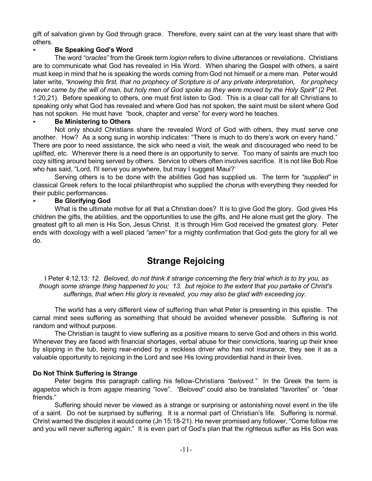gift of salvation given by God through grace. Therefore, every saint can at the very least share that with others.

# < **Be Speaking God's Word**

The word *"oracles"* from the Greek term *logion* refers to divine utterances or revelations. Christians are to communicate what God has revealed in His Word. When sharing the Gospel with others, a saint must keep in mind that he is speaking the words coming from God not himself or a mere man. Peter would later write, *"knowing this first, that no prophecy of Scripture is of any private interpretation, for prophecy* never came by the will of man, but holy men of God spoke as they were moved by the Holy Spirit" (2 Pet. 1:20,21). Before speaking to others, one must first listen to God. This is a clear call for all Christians to speaking only what God has revealed and where God has not spoken, the saint must be silent where God has not spoken. He must have "book, chapter and verse" for every word he teaches.

# < **Be Ministering to Others**

Not only should Christians share the revealed Word of God with others, they must serve one another. How? As a song sung in worship indicates: "There is much to do there's work on every hand." There are poor to need assistance, the sick who need a visit, the weak and discouraged who need to be uplifted, etc. Wherever there is a need there is an opportunity to serve. Too many of saints are much too cozy sitting around being served by others. Service to others often involves sacrifice. It is not like Bob Roe who has said, "Lord, I'll serve you anywhere, but may I suggest Maui?"

Serving others is to be done with the abilities God has supplied us. The term for *"supplied"* in classical Greek refers to the local philanthropist who supplied the chorus with everything they needed for their public performances.

# < **Be Glorifying God**

What is the ultimate motive for all that a Christian does? It is to give God the glory. God gives His children the gifts, the abilities, and the opportunities to use the gifts, and He alone must get the glory. The greatest gift to all men is His Son, Jesus Christ. It is through Him God received the greatest glory. Peter ends with doxology with a well placed *"amen"* for a mighty confirmation that God gets the glory for all we do.

# **Strange Rejoicing**

I Peter 4:12,13*: 12. Beloved, do not think it strange concerning the fiery trial which is to try you, as* though some strange thing happened to you; 13. but rejoice to the extent that you partake of Christ's *sufferings, that when His glory is revealed, you may also be glad with exceeding joy.*

The world has a very different view of suffering than what Peter is presenting in this epistle. The carnal mind sees suffering as something that should be avoided whenever possible. Suffering is not random and without purpose.

The Christian is taught to view suffering as a positive means to serve God and others in this world. Whenever they are faced with financial shortages, verbal abuse for their convictions, tearing up their knee by slipping in the tub, being rear-ended by a reckless driver who has not insurance, they see it as a valuable opportunity to rejoicing in the Lord and see His loving providential hand in their lives.

# **Do Not Think Suffering is Strange**

Peter begins this paragraph calling his fellow-Christians *"beloved."* In the Greek the term is *agapetos* which is from *agape* meaning "love". *"Beloved"* could also be translated "favorites" or "dear friends."

Suffering should never be viewed as a strange or surprising or astonishing novel event in the life of a saint. Do not be surprised by suffering. It is a normal part of Christian's life. Suffering is normal. Christ warned the disciples it would come (Jn 15:18-21). He never promised any follower, "Come follow me and you will never suffering again." It is even part of God's plan that the righteous suffer as His Son was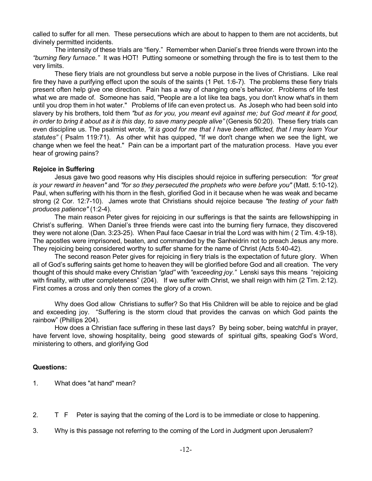called to suffer for all men. These persecutions which are about to happen to them are not accidents, but divinely permitted incidents.

The intensity of these trials are "fiery." Remember when Daniel's three friends were thrown into the *"burning fiery furnace."* It was HOT! Putting someone or something through the fire is to test them to the very limits.

These fiery trials are not groundless but serve a noble purpose in the lives of Christians. Like real fire they have a purifying effect upon the souls of the saints (1 Pet. 1:6-7). The problems these fiery trials present often help give one direction. Pain has a way of changing one's behavior. Problems of life test what we are made of. Someone has said, "People are a lot like tea bags, you don't know what's in them until you drop them in hot water." Problems of life can even protect us. As Joseph who had been sold into slavery by his brothers, told them *"but as for you, you meant evil against me; but God meant it for good, in order to bring it about as it is this day, to save many people alive"* (Genesis 50:20). These fiery trials can even discipline us. The psalmist wrote, *"it is good for me that I have been afflicted, that I may learn Your statutes"* ( Psalm 119:71). As other whit has quipped, "If we don't change when we see the light, we change when we feel the heat." Pain can be a important part of the maturation process. Have you ever hear of growing pains?

#### **Rejoice in Suffering**

Jesus gave two good reasons why His disciples should rejoice in suffering persecution: *"for great is your reward in heaven"* and *"for so they persecuted the prophets who were before you"* (Matt. 5:10-12). Paul, when suffering with his thorn in the flesh, glorified God in it because when he was weak and became strong (2 Cor. 12:7-10). James wrote that Christians should rejoice because *"the testing of your faith produces patience"* (1:2-4).

The main reason Peter gives for rejoicing in our sufferings is that the saints are fellowshipping in Christ's suffering. When Daniel's three friends were cast into the burning fiery furnace, they discovered they were not alone (Dan. 3:23-25). When Paul face Caesar in trial the Lord was with him ( 2 Tim. 4:9-18). The apostles were imprisoned, beaten, and commanded by the Sanheidrin not to preach Jesus any more. They rejoicing being considered worthy to suffer shame for the name of Christ (Acts 5:40-42).

The second reason Peter gives for rejoicing in fiery trials is the expectation of future glory. When all of God's suffering saints get home to heaven they will be glorified before God and all creation. The very thought of this should make every Christian *"glad"* with *"exceeding joy."* Lenski says this means "rejoicing with finality, with utter completeness" (204). If we suffer with Christ, we shall reign with him (2 Tim. 2:12). First comes a cross and only then comes the glory of a crown.

Why does God allow Christians to suffer? So that His Children will be able to rejoice and be glad and exceeding joy. "Suffering is the storm cloud that provides the canvas on which God paints the rainbow" (Phillips 204).

How does a Christian face suffering in these last days? By being sober, being watchful in prayer, have fervent love, showing hospitality, being good stewards of spiritual gifts, speaking God's Word, ministering to others, and glorifying God

# **Questions:**

- 1. What does "at hand" mean?
- 2. T F Peter is saying that the coming of the Lord is to be immediate or close to happening.
- 3. Why is this passage not referring to the coming of the Lord in Judgment upon Jerusalem?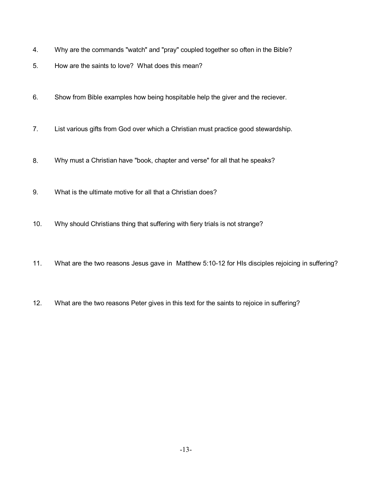- 4. Why are the commands "watch" and "pray" coupled together so often in the Bible?
- 5. How are the saints to love? What does this mean?
- 6. Show from Bible examples how being hospitable help the giver and the reciever.
- 7. List various gifts from God over which a Christian must practice good stewardship.
- 8. Why must a Christian have "book, chapter and verse" for all that he speaks?
- 9. What is the ultimate motive for all that a Christian does?
- 10. Why should Christians thing that suffering with fiery trials is not strange?
- 11. What are the two reasons Jesus gave in Matthew 5:10-12 for HIs disciples rejoicing in suffering?
- 12. What are the two reasons Peter gives in this text for the saints to rejoice in suffering?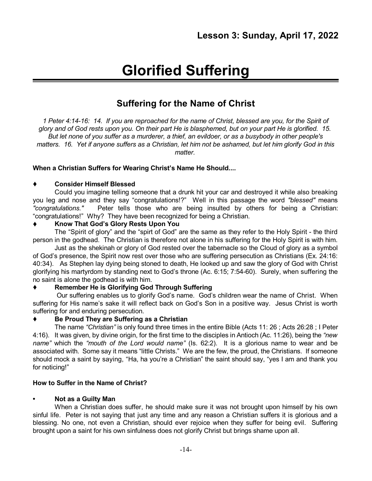# **Glorified Suffering**

# **Suffering for the Name of Christ**

1 Peter 4:14-16: 14. If you are reproached for the name of Christ, blessed are you, for the Spirit of glory and of God rests upon you. On their part He is blasphemed, but on your part He is glorified. 15. But let none of you suffer as a murderer, a thief, an evildoer, or as a busybody in other people's matters. 16. Yet if anyone suffers as a Christian, let him not be ashamed, but let him glorify God in this *matter.*

# **When a Christian Suffers for Wearing Christ's Name He Should....**

# **Consider Himself Blessed**

Could you imagine telling someone that a drunk hit your car and destroyed it while also breaking you leg and nose and they say "congratulations!?" Well in this passage the word *"blessed"* means *"congratulations."* Peter tells those who are being insulted by others for being a Christian: "congratulations!" Why? They have been recognized for being a Christian.

# **Know That God's Glory Rests Upon You**

The "Spirit of glory" and the "spirt of God" are the same as they refer to the Holy Spirit - the third person in the godhead. The Christian is therefore not alone in his suffering for the Holy Spirit is with him.

Just as the shekinah or glory of God rested over the tabernacle so the Cloud of glory as a symbol of God's presence, the Spirit now rest over those who are suffering persecution as Christians (Ex. 24:16: 40:34). As Stephen lay dying being stoned to death, He looked up and saw the glory of God with Christ glorifying his martyrdom by standing next to God's throne (Ac. 6:15; 7:54-60). Surely, when suffering the no saint is alone the godhead is with him.

# **Remember He is Glorifying God Through Suffering**

Our suffering enables us to glorify God's name. God's children wear the name of Christ. When suffering for His name's sake it will reflect back on God's Son in a positive way. Jesus Christ is worth suffering for and enduring persecution.

# **Be Proud They are Suffering as a Christian**

The name *"Christian"* is only found three times in the entire Bible (Acts 11: 26 ; Acts 26:28 ; I Peter 4:16). It was given, by divine origin, for the first time to the disciples in Antioch (Ac. 11:26), being the *"new name"* which the *"mouth of the Lord would name"* (Is. 62:2). It is a glorious name to wear and be associated with. Some say it means "little Christs." We are the few, the proud, the Christians. If someone should mock a saint by saying, "Ha, ha you're a Christian" the saint should say, "yes I am and thank you for noticing!"

# **How to Suffer in the Name of Christ?**

# **• Not as a Guilty Man**

When a Christian does suffer, he should make sure it was not brought upon himself by his own sinful life. Peter is not saying that just any time and any reason a Christian suffers it is glorious and a blessing. No one, not even a Christian, should ever rejoice when they suffer for being evil. Suffering brought upon a saint for his own sinfulness does not glorify Christ but brings shame upon all.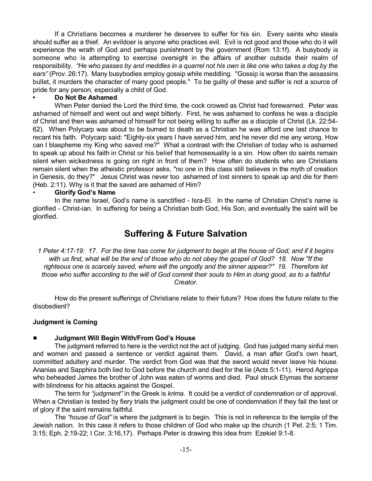If a Christians becomes a murderer he deserves to suffer for his sin. Every saints who steals should suffer as a thief. An evildoer is anyone who practices evil. Evil is not good and those who do it will experience the wrath of God and perhaps punishment by the government (Rom 13:1f). A busybody is someone who is attempting to exercise oversight in the affairs of another outside their realm of responsibility. "He who passes by and meddles in a quarrel not his own is like one who takes a dog by the *ears"* (Prov. 26:17). Many busybodies employ gossip while meddling. "Gossip is worse than the assassins bullet, it murders the character of many good people." To be guilty of these and suffer is not a source of pride for any person, especially a child of God.

#### **• Do Not Be Ashamed**

When Peter denied the Lord the third time, the cock crowed as Christ had forewarned. Peter was ashamed of himself and went out and wept bitterly. First, he was ashamed to confess he was a disciple of Christ and then was ashamed of himself for not being willing to suffer as a disciple of Christ (Lk. 22:54- 62). When Polycarp was about to be burned to death as a Christian he was afford one last chance to recant his faith. Polycarp said: "Eighty-six years I have served him, and he never did me any wrong. How can I blaspheme my King who saved me?" What a contrast with the Christian of today who is ashamed to speak up about his faith in Christ or his belief that homosexuality is a sin. How often do saints remain silent when wickedness is going on right in front of them? How often do students who are Christians remain silent when the atheistic professor asks, "no one in this class still believes in the myth of creation in Genesis, do they?" Jesus Christ was never too ashamed of lost sinners to speak up and die for them (Heb. 2:11). Why is it that the saved are ashamed of Him?

#### • **Glorify God's Name**

In the name Israel, God's name is sanctified - Isra-El. In the name of Christian Christ's name is glorified - Christ-ian. In suffering for being a Christian both God, His Son, and eventually the saint will be glorified.

# **Suffering & Future Salvation**

1 Peter 4:17-19: 17. For the time has come for judgment to begin at the house of God; and if it begins with us first, what will be the end of those who do not obey the gospel of God? 18. Now "If the *righteous one is scarcely saved, where will the ungodly and the sinner appear?'' 19. Therefore let* those who suffer according to the will of God commit their souls to Him in doing good, as to a faithful *Creator.*

How do the present sufferings of Christians relate to their future? How does the future relate to the disobedient?

#### **Judgment is Coming**

# # **Judgment Will Begin With/From God's House**

The judgment referred to here is the verdict not the act of judging. God has judged many sinful men and women and passed a sentence or verdict against them. David, a man after God's own heart, committed adultery and murder. The verdict from God was that the sword would never leave his house. Ananias and Sapphira both lied to God before the church and died for the lie (Acts 5:1-11). Herod Agrippa who beheaded James the brother of John was eaten of worms and died. Paul struck Elymas the sorcerer with blindness for his attacks against the Gospel.

The term for *"judgment"* in the Greek is *krima*. It could be a verdict of condemnation or of approval. When a Christian is tested by fiery trials the judgment could be one of condemnation if they fail the test or of glory if the saint remains faithful.

The *"house of God"* is where the judgment is to begin. This is not in reference to the temple of the Jewish nation. In this case it refers to those children of God who make up the church (1 Pet. 2:5; 1 Tim. 3:15; Eph. 2:19-22; I Cor. 3:16,17). Perhaps Peter is drawing this idea from Ezekiel 9:1-8.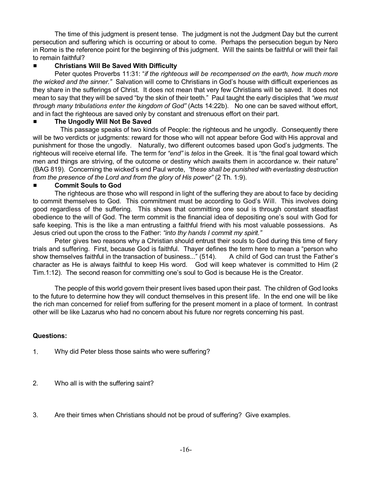The time of this judgment is present tense. The judgment is not the Judgment Day but the current persecution and suffering which is occurring or about to come. Perhaps the persecution begun by Nero in Rome is the reference point for the beginning of this judgment. Will the saints be faithful or will their fail to remain faithful?

# # **Christians Will Be Saved With Difficulty**

Peter quotes Proverbs 11:31: "*if the righteous will be recompensed on the earth, how much more the wicked and the sinner."* Salvation will come to Christians in God's house with difficult experiences as they share in the sufferings of Christ. It does not mean that very few Christians will be saved. It does not mean to say that they will be saved "by the skin of their teeth." Paul taught the early disciples that *"we must through many tribulations enter the kingdom of God"* (Acts 14:22b). No one can be saved without effort, and in fact the righteous are saved only by constant and strenuous effort on their part.

# # **The Ungodly Will Not Be Saved**

This passage speaks of two kinds of People: the righteous and he ungodly. Consequently there will be two verdicts or judgments: reward for those who will not appear before God with His approval and punishment for those the ungodly. Naturally, two different outcomes based upon God's judgments. The righteous will receive eternal life. The term for *"end"* is *telos* in the Greek. It is "the final goal toward which men and things are striving, of the outcome or destiny which awaits them in accordance w. their nature" (BAG 819). Concerning the wicked's end Paul wrote, *"these shall be punished with everlasting destruction from the presence of the Lord and from the glory of His power"* (2 Th. 1:9).

# # **Commit Souls to God**

The righteous are those who will respond in light of the suffering they are about to face by deciding to commit themselves to God. This commitment must be according to God's Will. This involves doing good regardless of the suffering. This shows that committing one soul is through constant steadfast obedience to the will of God. The term commit is the financial idea of depositing one's soul with God for safe keeping. This is the like a man entrusting a faithful friend with his most valuable possessions. As Jesus cried out upon the cross to the Father: *"into thy hands I commit my spirit."*

Peter gives two reasons why a Christian should entrust their souls to God during this time of fiery trials and suffering. First, because God is faithful. Thayer defines the term here to mean a "person who show themselves faithful in the transaction of business..." (514). A child of God can trust the Father's character as He is always faithful to keep His word. God will keep whatever is committed to Him (2 Tim.1:12). The second reason for committing one's soul to God is because He is the Creator.

The people of this world govern their present lives based upon their past. The children of God looks to the future to determine how they will conduct themselves in this present life. In the end one will be like the rich man concerned for relief from suffering for the present moment in a place of torment. In contrast other will be like Lazarus who had no concern about his future nor regrets concerning his past.

# **Questions:**

- 1. Why did Peter bless those saints who were suffering?
- 2. Who all is with the suffering saint?
- 3. Are their times when Christians should not be proud of suffering? Give examples.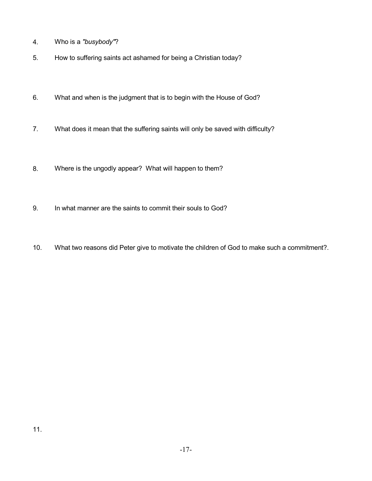- 4. Who is a *"busybody"*?
- 5. How to suffering saints act ashamed for being a Christian today?
- 6. What and when is the judgment that is to begin with the House of God?
- 7. What does it mean that the suffering saints will only be saved with difficulty?
- 8. Where is the ungodly appear? What will happen to them?
- 9. In what manner are the saints to commit their souls to God?
- 10. What two reasons did Peter give to motivate the children of God to make such a commitment?.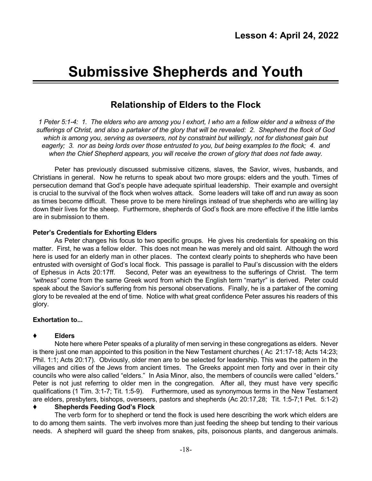# **Submissive Shepherds and Youth**

# **Relationship of Elders to the Flock**

1 Peter 5:1-4: 1. The elders who are among you I exhort, I who am a fellow elder and a witness of the sufferings of Christ, and also a partaker of the glory that will be revealed: 2. Shepherd the flock of God *which is among you, serving as overseers, not by constraint but willingly, not for dishonest gain but* eagerly; 3. nor as being lords over those entrusted to you, but being examples to the flock; 4. and *when the Chief Shepherd appears, you will receive the crown of glory that does not fade away.*

Peter has previously discussed submissive citizens, slaves, the Savior, wives, husbands, and Christians in general. Now he returns to speak about two more groups: elders and the youth. Times of persecution demand that God's people have adequate spiritual leadership. Their example and oversight is crucial to the survival of the flock when wolves attack. Some leaders will take off and run away as soon as times become difficult. These prove to be mere hirelings instead of true shepherds who are willing lay down their lives for the sheep. Furthermore, shepherds of God's flock are more effective if the little lambs are in submission to them.

#### **Peter's Credentials for Exhorting Elders**

As Peter changes his focus to two specific groups. He gives his credentials for speaking on this matter. First, he was a fellow elder. This does not mean he was merely and old saint. Although the word here is used for an elderly man in other places. The context clearly points to shepherds who have been entrusted with oversight of God's local flock. This passage is parallel to Paul's discussion with the elders of Ephesus in Acts 20:17ff. Second, Peter was an eyewitness to the sufferings of Christ. The term *"witness"* come from the same Greek word from which the English term "martyr" is derived. Peter could speak about the Savior's suffering from his personal observations. Finally, he is a partaker of the coming glory to be revealed at the end of time. Notice with what great confidence Peter assures his readers of this glory.

# **Exhortation to...**

# **Elders**

Note here where Peter speaks of a plurality of men serving in these congregations as elders. Never is there just one man appointed to this position in the New Testament churches ( Ac 21:17-18; Acts 14:23; Phil. 1:1; Acts 20:17). Obviously, older men are to be selected for leadership. This was the pattern in the villages and cities of the Jews from ancient times. The Greeks appoint men forty and over in their city councils who were also called "elders." In Asia Minor, also, the members of councils were called "elders." Peter is not just referring to older men in the congregation. After all, they must have very specific qualifications (1 Tim. 3:1-7; Tit. 1:5-9). Furthermore, used as synonymous terms in the New Testament are elders, presbyters, bishops, overseers, pastors and shepherds (Ac 20:17,28; Tit. 1:5-7;1 Pet. 5:1-2)

#### **Shepherds Feeding God's Flock**

The verb form for to shepherd or tend the flock is used here describing the work which elders are to do among them saints. The verb involves more than just feeding the sheep but tending to their various needs. A shepherd will guard the sheep from snakes, pits, poisonous plants, and dangerous animals.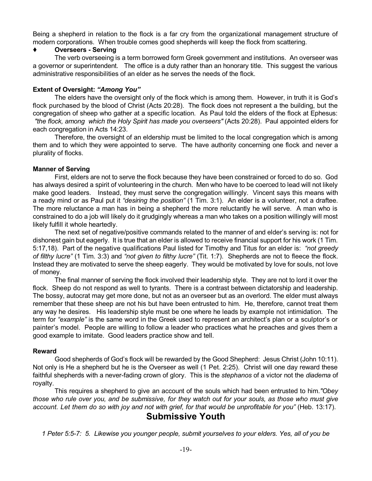Being a shepherd in relation to the flock is a far cry from the organizational management structure of modern corporations. When trouble comes good shepherds will keep the flock from scattering.

# **Overseers - Serving**

The verb overseeing is a term borrowed form Greek government and institutions. An overseer was a governor or superintendent. The office is a duty rather than an honorary title. This suggest the various administrative responsibilities of an elder as he serves the needs of the flock.

#### **Extent of Oversight:** *"Among You"*

The elders have the oversight only of the flock which is among them. However, in truth it is God's flock purchased by the blood of Christ (Acts 20:28). The flock does not represent a the building, but the congregation of sheep who gather at a specific location. As Paul told the elders of the flock at Ephesus: *"the flock, among which the Holy Spirit has made you overseers"* (Acts 20:28). Paul appointed elders for each congregation in Acts 14:23.

Therefore, the oversight of an eldership must be limited to the local congregation which is among them and to which they were appointed to serve. The have authority concerning one flock and never a plurality of flocks.

#### **Manner of Serving**

First, elders are not to serve the flock because they have been constrained or forced to do so. God has always desired a spirit of volunteering in the church. Men who have to be coerced to lead will not likely make good leaders. Instead, they must serve the congregation willingly. Vincent says this means with a ready mind or as Paul put it *"desiring the position"* (1 Tim. 3:1). An elder is a volunteer, not a draftee. The more reluctance a man has in being a shepherd the more reluctantly he will serve. A man who is constrained to do a job will likely do it grudgingly whereas a man who takes on a position willingly will most likely fulfill it whole heartedly.

The next set of negative/positive commands related to the manner of and elder's serving is: not for dishonest gain but eagerly. It is true that an elder is allowed to receive financial support for his work (1 Tim. 5:17,18). Part of the negative qualifications Paul listed for Timothy and Titus for an elder is: *"not greedy of filthy lucre"* (1 Tim. 3:3) and *"not given to filthy lucre"* (Tit. 1:7). Shepherds are not to fleece the flock. Instead they are motivated to serve the sheep eagerly. They would be motivated by love for souls, not love of money.

The final manner of serving the flock involved their leadership style. They are not to lord it over the flock. Sheep do not respond as well to tyrants. There is a contrast between dictatorship and leadership. The bossy, autocrat may get more done, but not as an overseer but as an overlord. The elder must always remember that these sheep are not his but have been entrusted to him. He, therefore, cannot treat them any way he desires. His leadership style must be one where he leads by example not intimidation. The term for *"example"* is the same word in the Greek used to represent an architect's plan or a sculptor's or painter's model. People are willing to follow a leader who practices what he preaches and gives them a good example to imitate. Good leaders practice show and tell.

# **Reward**

Good shepherds of God's flock will be rewarded by the Good Shepherd: Jesus Christ (John 10:11). Not only is He a shepherd but he is the Overseer as well (1 Pet. 2:25). Christ will one day reward these faithful shepherds with a never-fading crown of glory. This is the *stephanos* of a victor not the *diadema* of royalty.

This requires a shepherd to give an account of the souls which had been entrusted to him.*"Obey* those who rule over you, and be submissive, for they watch out for your souls, as those who must give account. Let them do so with joy and not with grief, for that would be unprofitable for you" (Heb. 13:17).

# **Submissive Youth**

*1 Peter 5:5-7: 5. Likewise you younger people, submit yourselves to your elders. Yes, all of you be*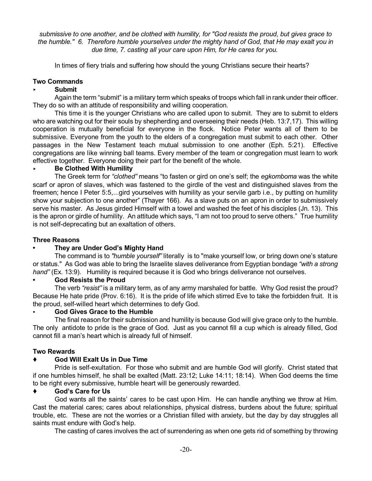submissive to one another, and be clothed with humility, for "God resists the proud, but gives grace to the humble." 6. Therefore humble yourselves under the mighty hand of God, that He may exalt you in *due time, 7. casting all your care upon Him, for He cares for you.*

In times of fiery trials and suffering how should the young Christians secure their hearts?

#### **Two Commands**

#### < **Submit**

Again the term "submit" is a military term which speaks of troops which fall in rank under their officer. They do so with an attitude of responsibility and willing cooperation.

This time it is the younger Christians who are called upon to submit. They are to submit to elders who are watching out for their souls by shepherding and overseeing their needs (Heb. 13:7,17). This willing cooperation is mutually beneficial for everyone in the flock. Notice Peter wants all of them to be submissive. Everyone from the youth to the elders of a congregation must submit to each other. Other passages in the New Testament teach mutual submission to one another (Eph. 5:21). Effective congregations are like winning ball teams. Every member of the team or congregation must learn to work effective together. Everyone doing their part for the benefit of the whole.

#### < **Be Clothed With Humility**

The Greek term for *"clothed"* means "to fasten or gird on one's self; the *egkomboma* was the white scarf or apron of slaves, which was fastened to the girdle of the vest and distinguished slaves from the freemen; hence I Peter 5:5,...gird yourselves with humility as your servile garb i.e., by putting on humility show your subjection to one another" (Thayer 166). As a slave puts on an apron in order to submissively serve his master. As Jesus girded Himself with a towel and washed the feet of his disciples (Jn. 13). This is the apron or girdle of humility. An attitude which says, "I am not too proud to serve others." True humility is not self-deprecating but an exaltation of others.

#### **Three Reasons**

# **• They are Under God's Mighty Hand**

The command is to *"humble yourself"* literally is to "make yourself low, or bring down one's stature or status." As God was able to bring the Israelite slaves deliverance from Egyptian bondage *"with a strong hand"* (Ex. 13:9). Humility is required because it is God who brings deliverance not ourselves.

#### **• God Resists the Proud**

The verb *"resist"* is a military term, as of any army marshaled for battle. Why God resist the proud? Because He hate pride (Prov. 6:16). It is the pride of life which stirred Eve to take the forbidden fruit. It is the proud, self-willed heart which determines to defy God.

#### • **God Gives Grace to the Humble**

The final reason for their submission and humility is because God will give grace only to the humble. The only antidote to pride is the grace of God. Just as you cannot fill a cup which is already filled, God cannot fill a man's heart which is already full of himself.

#### **Two Rewards**

# **God Will Exalt Us in Due Time**

Pride is self-exultation. For those who submit and are humble God will glorify. Christ stated that if one humbles himself, he shall be exalted (Matt. 23:12; Luke 14:11; 18:14). When God deems the time to be right every submissive, humble heart will be generously rewarded.

#### **God's Care for Us**

God wants all the saints' cares to be cast upon Him. He can handle anything we throw at Him. Cast the material cares; cares about relationships, physical distress, burdens about the future; spiritual trouble, etc. These are not the worries or a Christian filled with anxiety, but the day by day struggles all saints must endure with God's help.

The casting of cares involves the act of surrendering as when one gets rid of something by throwing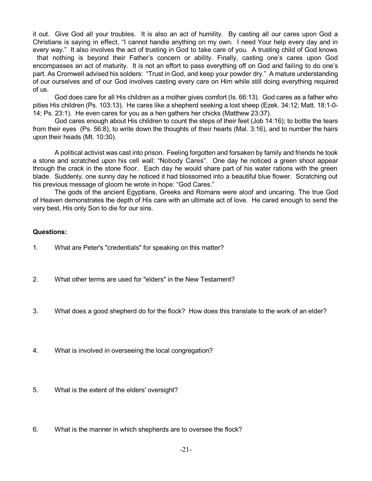it out. Give God all your troubles. It is also an act of humility. By casting all our cares upon God a Christians is saying in effect, "I cannot handle anything on my own. I need Your help every day and in every way." It also involves the act of trusting in God to take care of you. A trusting child of God knows that nothing is beyond their Father's concern or ability. Finally, casting one's cares upon God encompasses an act of maturity. It is not an effort to pass everything off on God and failing to do one's part. As Cromwell advised his solders: "Trust in God, and keep your powder dry." A mature understanding of our ourselves and of our God involves casting every care on Him while still doing everything required of us.

God does care for all His children as a mother gives comfort (Is. 66:13). God cares as a father who pities His children (Ps. 103:13). He cares like a shepherd seeking a lost sheep (Ezek. 34:12; Matt. 18:1-0- 14; Ps. 23:1). He even cares for you as a hen gathers her chicks (Matthew 23:37).

God cares enough about His children to count the steps of their feet (Job 14:16); to bottle the tears from their eyes (Ps. 56:8), to write down the thoughts of their hearts (Mal. 3:16), and to number the hairs upon their heads (Mt. 10:30).

A political activist was cast into prison. Feeling forgotten and forsaken by family and friends he took a stone and scratched upon his cell wall: "Nobody Cares". One day he noticed a green shoot appear through the crack in the stone floor. Each day he would share part of his water rations with the green blade. Suddenly, one sunny day he noticed it had blossomed into a beautiful blue flower. Scratching out his previous message of gloom he wrote in hope: "God Cares."

The gods of the ancient Egyptians, Greeks and Romans were aloof and uncaring. The true God of Heaven demonstrates the depth of His care with an ultimate act of love. He cared enough to send the very best, His only Son to die for our sins.

#### **Questions:**

- 1. What are Peter's "credentials" for speaking on this matter?
- 2. What other terms are used for "elders" in the New Testament?
- 3. What does a good shepherd do for the flock? How does this translate to the work of an elder?
- 4. What is involved in overseeing the local congregation?
- 5. What is the extent of the elders' oversight?
- 6. What is the manner in which shepherds are to oversee the flock?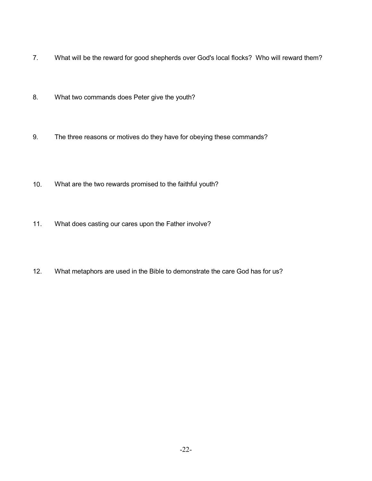- 7. What will be the reward for good shepherds over God's local flocks? Who will reward them?
- 8. What two commands does Peter give the youth?
- 9. The three reasons or motives do they have for obeying these commands?
- 10. What are the two rewards promised to the faithful youth?
- 11. What does casting our cares upon the Father involve?
- 12. What metaphors are used in the Bible to demonstrate the care God has for us?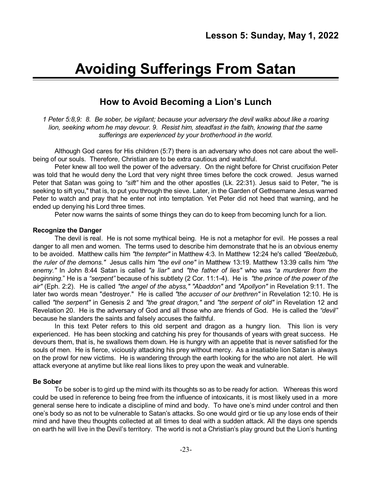# **Avoiding Sufferings From Satan**

# **How to Avoid Becoming a Lion's Lunch**

*1 Peter 5:8,9: 8. Be sober, be vigilant; because your adversary the devil walks about like a roaring lion, seeking whom he may devour. 9. Resist him, steadfast in the faith, knowing that the same sufferings are experienced by your brotherhood in the world.*

Although God cares for His children (5:7) there is an adversary who does not care about the wellbeing of our souls. Therefore, Christian are to be extra cautious and watchful.

Peter knew all too well the power of the adversary. On the night before for Christ crucifixion Peter was told that he would deny the Lord that very night three times before the cock crowed. Jesus warned Peter that Satan was going to *"sift"* him and the other apostles (Lk. 22:31). Jesus said to Peter, "he is seeking to sift you," that is, to put you through the sieve. Later, in the Garden of Gethsemane Jesus warned Peter to watch and pray that he enter not into temptation. Yet Peter did not heed that warning, and he ended up denying his Lord three times.

Peter now warns the saints of some things they can do to keep from becoming lunch for a lion.

#### **Recognize the Danger**

The devil is real. He is not some mythical being. He is not a metaphor for evil. He posses a real danger to all men and women. The terms used to describe him demonstrate that he is an obvious enemy to be avoided. Matthew calls him *"the tempter"* in Matthew 4:3. In Matthew 12:24 he's called *"Beelzebub, the ruler of the demons."* Jesus calls him *"the evil one"* in Matthew 13:19. Matthew 13:39 calls him *"the enemy."* In John 8:44 Satan is called *"a liar"* and *"the father of lies"* who was *"a murderer from the beginning.*" He is a *"serpent"* because of his subtlety (2 Cor. 11:1-4). He is *"the prince of the power of the air"* (Eph. 2:2). He is called *"the angel of the abyss," "Abaddon"* and *"Apollyon"* in Revelation 9:11. The later two words mean "destroyer." He is called *"the accuser of our brethren"* in Revelation 12:10. He is called *"the serpent"* in Genesis 2 and *"the great dragon,"* and *"the serpent of old"* in Revelation 12 and Revelation 20. He is the adversary of God and all those who are friends of God. He is called the *"devil"* because he slanders the saints and falsely accuses the faithful.

In this text Peter refers to this old serpent and dragon as a hungry lion. This lion is very experienced. He has been stocking and catching his prey for thousands of years with great success. He devours them, that is, he swallows them down. He is hungry with an appetite that is never satisfied for the souls of men. He is fierce, viciously attacking his prey without mercy. As a insatiable lion Satan is always on the prowl for new victims. He is wandering through the earth looking for the who are not alert. He will attack everyone at anytime but like real lions likes to prey upon the weak and vulnerable.

# **Be Sober**

To be sober is to gird up the mind with its thoughts so as to be ready for action. Whereas this word could be used in reference to being free from the influence of intoxicants, it is most likely used in a more general sense here to indicate a discipline of mind and body. To have one's mind under control and then one's body so as not to be vulnerable to Satan's attacks. So one would gird or tie up any lose ends of their mind and have theu thoughts collected at all times to deal with a sudden attack. All the days one spends on earth he will live in the Devil's territory. The world is not a Christian's play ground but the Lion's hunting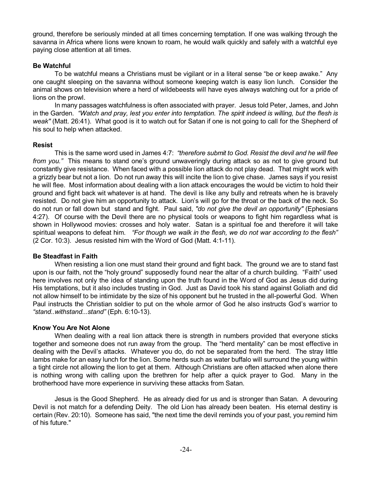ground, therefore be seriously minded at all times concerning temptation. If one was walking through the savanna in Africa where lions were known to roam, he would walk quickly and safely with a watchful eye paying close attention at all times.

# **Be Watchful**

To be watchful means a Christians must be vigilant or in a literal sense "be or keep awake." Any one caught sleeping on the savanna without someone keeping watch is easy lion lunch. Consider the animal shows on television where a herd of wildebeests will have eyes always watching out for a pride of lions on the prowl.

In many passages watchfulness is often associated with prayer. Jesus told Peter, James, and John in the Garden. "Watch and pray, lest you enter into temptation. The spirit indeed is willing, but the flesh is *weak''* (Matt. 26:41). What good is it to watch out for Satan if one is not going to call for the Shepherd of his soul to help when attacked.

#### **Resist**

This is the same word used in James 4:7: *"therefore submit to God. Resist the devil and he will flee from you."* This means to stand one's ground unwaveringly during attack so as not to give ground but constantly give resistance. When faced with a possible lion attack do not play dead. That might work with a grizzly bear but not a lion. Do not run away this will incite the lion to give chase. James says if you resist he will flee. Most information about dealing with a lion attack encourages the would be victim to hold their ground and fight back wit whatever is at hand. The devil is like any bully and retreats when he is bravely resisted. Do not give him an opportunity to attack. Lion's will go for the throat or the back of the neck. So do not run or fall down but stand and fight. Paul said, *"do not give the devil an opportunity"* (Ephesians 4:27). Of course with the Devil there are no physical tools or weapons to fight him regardless what is shown in Hollywood movies: crosses and holy water. Satan is a spiritual foe and therefore it will take spiritual weapons to defeat him. *"For though we walk in the flesh, we do not war according to the flesh"* (2 Cor. 10:3). Jesus resisted him with the Word of God (Matt. 4:1-11).

#### **Be Steadfast in Faith**

When resisting a lion one must stand their ground and fight back. The ground we are to stand fast upon is our faith, not the "holy ground" supposedly found near the altar of a church building. "Faith" used here involves not only the idea of standing upon the truth found in the Word of God as Jesus did during His temptations, but it also includes trusting in God. Just as David took his stand against Goliath and did not allow himself to be intimidate by the size of his opponent but he trusted in the all-powerful God. When Paul instructs the Christian soldier to put on the whole armor of God he also instructs God's warrior to *"stand..withstand...stand"* (Eph. 6:10-13).

# **Know You Are Not Alone**

When dealing with a real lion attack there is strength in numbers provided that everyone sticks together and someone does not run away from the group. The "herd mentality" can be most effective in dealing with the Devil's attacks. Whatever you do, do not be separated from the herd. The stray little lambs make for an easy lunch for the lion. Some herds such as water buffalo will surround the young within a tight circle not allowing the lion to get at them. Although Christians are often attacked when alone there is nothing wrong with calling upon the brethren for help after a quick prayer to God. Many in the brotherhood have more experience in surviving these attacks from Satan.

Jesus is the Good Shepherd. He as already died for us and is stronger than Satan. A devouring Devil is not match for a defending Deity. The old Lion has already been beaten. His eternal destiny is certain (Rev. 20:10). Someone has said, "the next time the devil reminds you of your past, you remind him of his future."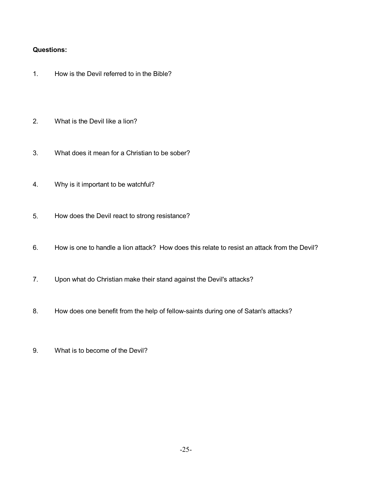# **Questions:**

- 1. How is the Devil referred to in the Bible?
- 2. What is the Devil like a lion?
- 3. What does it mean for a Christian to be sober?
- 4. Why is it important to be watchful?
- 5. How does the Devil react to strong resistance?
- 6. How is one to handle a lion attack? How does this relate to resist an attack from the Devil?
- 7. Upon what do Christian make their stand against the Devil's attacks?
- 8. How does one benefit from the help of fellow-saints during one of Satan's attacks?
- 9. What is to become of the Devil?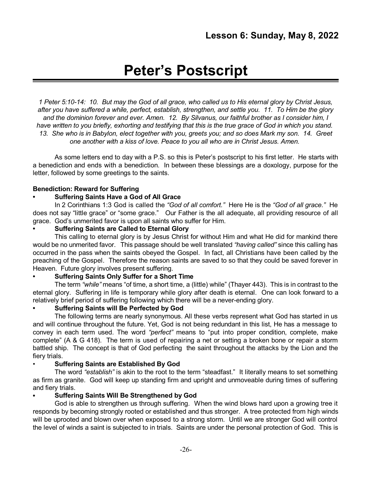# **Peter's Postscript**

1 Peter 5:10-14: 10. But may the God of all grace, who called us to His eternal glory by Christ Jesus, after you have suffered a while, perfect, establish, strengthen, and settle you. 11. To Him be the glory *and the dominion forever and ever. Amen. 12. By Silvanus, our faithful brother as I consider him, I* have written to you briefly, exhorting and testifying that this is the true grace of God in which you stand. 13. She who is in Babylon, elect together with you, greets you; and so does Mark my son. 14. Greet *one another with a kiss of love. Peace to you all who are in Christ Jesus. Amen.*

As some letters end to day with a P.S. so this is Peter's postscript to his first letter. He starts with a benediction and ends with a benediction. In between these blessings are a doxology, purpose for the letter, followed by some greetings to the saints.

# **Benediction: Reward for Suffering**

# **• Suffering Saints Have a God of All Grace**

In 2 Corinthians 1:3 God is called the *"God of all comfort."* Here He is the *"God of all grace."* He does not say "little grace" or "some grace." Our Father is the all adequate, all providing resource of all grace. God's unmerited favor is upon all saints who suffer for Him.

# **• Suffering Saints are Called to Eternal Glory**

This calling to eternal glory is by Jesus Christ for without Him and what He did for mankind there would be no unmerited favor. This passage should be well translated *"having called"* since this calling has occurred in the pass when the saints obeyed the Gospel. In fact, all Christians have been called by the preaching of the Gospel. Therefore the reason saints are saved to so that they could be saved forever in Heaven. Future glory involves present suffering.

# **• Suffering Saints Only Suffer for a Short Time**

The term *"while"* means "of time, a short time, a (little) while" (Thayer 443). This is in contrast to the eternal glory. Suffering in life is temporary while glory after death is eternal. One can look forward to a relatively brief period of suffering following which there will be a never-ending glory.

# **• Suffering Saints will Be Perfected by God**

The following terms are nearly synonymous. All these verbs represent what God has started in us and will continue throughout the future. Yet, God is not being redundant in this list, He has a message to convey in each term used. The word *"perfect"* means to "put into proper condition, complete, make complete" (A & G 418). The term is used of repairing a net or setting a broken bone or repair a storm battled ship. The concept is that of God perfecting the saint throughout the attacks by the Lion and the fiery trials.

# • **Suffering Saints are Established By God**

The word *"establish"* is akin to the root to the term "steadfast." It literally means to set something as firm as granite. God will keep up standing firm and upright and unmoveable during times of suffering and fiery trials.

# **• Suffering Saints Will Be Strengthened by God**

God is able to strengthen us through suffering. When the wind blows hard upon a growing tree it responds by becoming strongly rooted or established and thus stronger. A tree protected from high winds will be uprooted and blown over when exposed to a strong storm. Until we are stronger God will control the level of winds a saint is subjected to in trials. Saints are under the personal protection of God. This is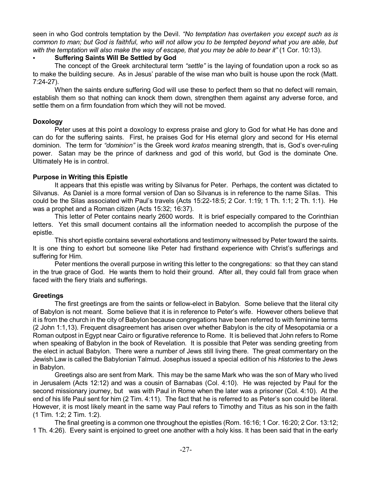seen in who God controls temptation by the Devil. *"No temptation has overtaken you except such as is* common to man; but God is faithful, who will not allow you to be tempted beyond what you are able, but *with the temptation will also make the way of escape, that you may be able to bear it"* (1 Cor. 10:13).

# • **Suffering Saints Will Be Settled by God**

The concept of the Greek architectural term *"settle"* is the laying of foundation upon a rock so as to make the building secure. As in Jesus' parable of the wise man who built is house upon the rock (Matt. 7:24-27).

When the saints endure suffering God will use these to perfect them so that no defect will remain, establish them so that nothing can knock them down, strengthen them against any adverse force, and settle them on a firm foundation from which they will not be moved.

# **Doxology**

Peter uses at this point a doxology to express praise and glory to God for what He has done and can do for the suffering saints. First, he praises God for His eternal glory and second for His eternal dominion. The term for *"dominion"* is the Greek word *kratos* meaning strength, that is, God's over-ruling power. Satan may be the prince of darkness and god of this world, but God is the dominate One. Ultimately He is in control.

# **Purpose in Writing this Epistle**

It appears that this epistle was writing by Silvanus for Peter. Perhaps, the content was dictated to Silvanus. As Daniel is a more formal version of Dan so Silvanus is in reference to the name Silas. This could be the Silas associated with Paul's travels (Acts 15:22-18:5; 2 Cor. 1:19; 1 Th. 1:1; 2 Th. 1:1). He was a prophet and a Roman citizen (Acts 15:32; 16:37).

This letter of Peter contains nearly 2600 words. It is brief especially compared to the Corinthian letters. Yet this small document contains all the information needed to accomplish the purpose of the epistle.

This short epistle contains several exhortations and testimony witnessed by Peter toward the saints. It is one thing to exhort but someone like Peter had firsthand experience with Christ's sufferings and suffering for Him.

Peter mentions the overall purpose in writing this letter to the congregations: so that they can stand in the true grace of God. He wants them to hold their ground. After all, they could fall from grace when faced with the fiery trials and sufferings.

# **Greetings**

The first greetings are from the saints or fellow-elect in Babylon. Some believe that the literal city of Babylon is not meant. Some believe that it is in reference to Peter's wife. However others believe that it is from the church in the city of Babylon because congregations have been referred to with feminine terms (2 John 1:1,13). Frequent disagreement has arisen over whether Babylon is the city of Mesopotamia or a Roman outpost in Egypt near Cairo or figurative reference to Rome. It is believed that John refers to Rome when speaking of Babylon in the book of Revelation. It is possible that Peter was sending greeting from the elect in actual Babylon. There were a number of Jews still living there. The great commentary on the Jewish Law is called the Babylonian Talmud. Josephus issued a special edition of his *Histories* to the Jews in Babylon.

Greetings also are sent from Mark. This may be the same Mark who was the son of Mary who lived in Jerusalem (Acts 12:12) and was a cousin of Barnabas (Col. 4:10). He was rejected by Paul for the second missionary journey, but was with Paul in Rome when the later was a prisoner (Col. 4:10). At the end of his life Paul sent for him (2 Tim. 4:11). The fact that he is referred to as Peter's son could be literal. However, it is most likely meant in the same way Paul refers to Timothy and Titus as his son in the faith (1 Tim. 1:2; 2 Tim. 1:2).

The final greeting is a common one throughout the epistles (Rom. 16:16; 1 Cor. 16:20; 2 Cor. 13:12; 1 Th. 4:26). Every saint is enjoined to greet one another with a holy kiss. It has been said that in the early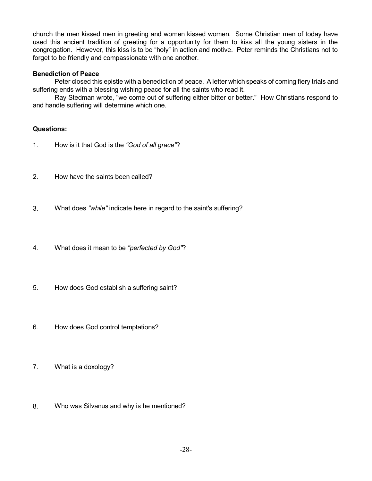church the men kissed men in greeting and women kissed women. Some Christian men of today have used this ancient tradition of greeting for a opportunity for them to kiss all the young sisters in the congregation. However, this kiss is to be "holy" in action and motive. Peter reminds the Christians not to forget to be friendly and compassionate with one another.

# **Benediction of Peace**

Peter closed this epistle with a benediction of peace. A letter which speaks of coming fiery trials and suffering ends with a blessing wishing peace for all the saints who read it.

Ray Stedman wrote, "we come out of suffering either bitter or better." How Christians respond to and handle suffering will determine which one.

# **Questions:**

- 1. How is it that God is the *"God of all grace"*?
- 2. How have the saints been called?
- 3. What does *"while"* indicate here in regard to the saint's suffering?
- 4. What does it mean to be *"perfected by God"*?
- 5. How does God establish a suffering saint?
- 6. How does God control temptations?
- 7. What is a doxology?
- 8. Who was Silvanus and why is he mentioned?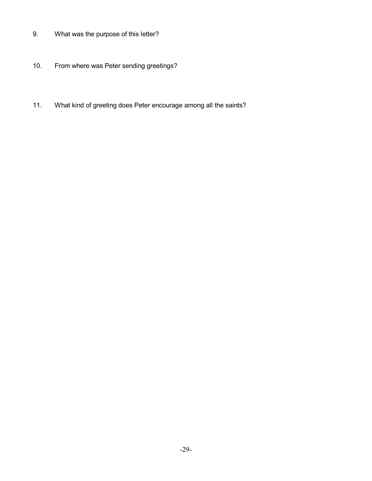- 9. What was the purpose of this letter?
- 10. From where was Peter sending greetings?
- 11. What kind of greeting does Peter encourage among all the saints?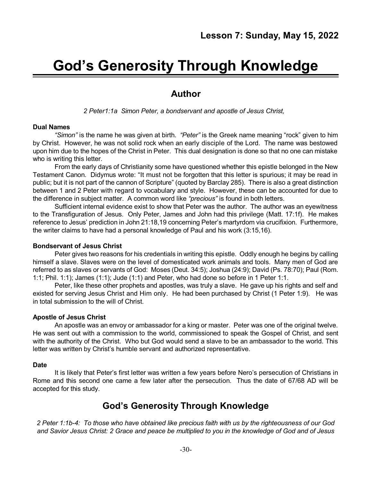# **God's Generosity Through Knowledge**

# **Author**

*2 Peter1:1a Simon Peter, a bondservant and apostle of Jesus Christ,*

#### **Dual Names**

*"Simon"* is the name he was given at birth. *"Peter"* is the Greek name meaning "rock" given to him by Christ. However, he was not solid rock when an early disciple of the Lord. The name was bestowed upon him due to the hopes of the Christ in Peter. This dual designation is done so that no one can mistake who is writing this letter.

From the early days of Christianity some have questioned whether this epistle belonged in the New Testament Canon. Didymus wrote: "It must not be forgotten that this letter is spurious; it may be read in public; but it is not part of the cannon of Scripture" (quoted by Barclay 285). There is also a great distinction between 1 and 2 Peter with regard to vocabulary and style. However, these can be accounted for due to the difference in subject matter. A common word like *"precious"* is found in both letters.

Sufficient internal evidence exist to show that Peter was the author. The author was an eyewitness to the Transfiguration of Jesus. Only Peter, James and John had this privilege (Matt. 17:1f). He makes reference to Jesus' prediction in John 21:18,19 concerning Peter's martyrdom via crucifixion. Furthermore, the writer claims to have had a personal knowledge of Paul and his work (3:15,16).

#### **Bondservant of Jesus Christ**

Peter gives two reasons for his credentials in writing this epistle. Oddly enough he begins by calling himself a slave. Slaves were on the level of domesticated work animals and tools. Many men of God are referred to as slaves or servants of God: Moses (Deut. 34:5); Joshua (24:9); David (Ps. 78:70); Paul (Rom. 1:1; Phil. 1:1); James (1:1); Jude (1:1) and Peter, who had done so before in 1 Peter 1:1.

Peter, like these other prophets and apostles, was truly a slave. He gave up his rights and self and existed for serving Jesus Christ and Him only. He had been purchased by Christ (1 Peter 1:9). He was in total submission to the will of Christ.

#### **Apostle of Jesus Christ**

An apostle was an envoy or ambassador for a king or master. Peter was one of the original twelve. He was sent out with a commission to the world, commissioned to speak the Gospel of Christ, and sent with the authority of the Christ. Who but God would send a slave to be an ambassador to the world. This letter was written by Christ's humble servant and authorized representative.

#### **Date**

It is likely that Peter's first letter was written a few years before Nero's persecution of Christians in Rome and this second one came a few later after the persecution. Thus the date of 67/68 AD will be accepted for this study.

# **God's Generosity Through Knowledge**

2 Peter 1:1b-4: To those who have obtained like precious faith with us by the righteousness of our God and Savior Jesus Christ: 2 Grace and peace be multiplied to you in the knowledge of God and of Jesus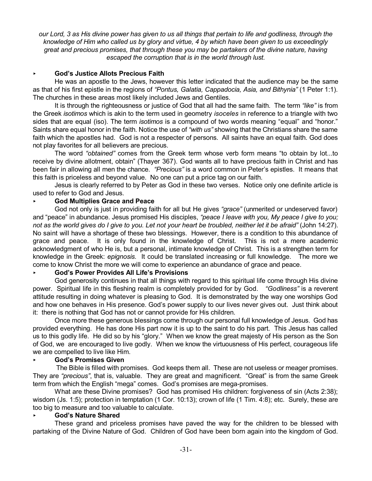our Lord, 3 as His divine power has given to us all things that pertain to life and godliness, through the knowledge of Him who called us by glory and virtue, 4 by which have been given to us exceedingly *great and precious promises, that through these you may be partakers of the divine nature, having escaped the corruption that is in the world through lust.*

# < **God's Justice Allots Precious Faith**

He was an apostle to the Jews, however this letter indicated that the audience may be the same as that of his first epistle in the regions of *"Pontus, Galatia, Cappadocia, Asia, and Bithynia"* (1 Peter 1:1). The churches in these areas most likely included Jews and Gentiles.

It is through the righteousness or justice of God that all had the same faith. The term *"like"* is from the Greek *isotimos* which is akin to the term used in geometry *isoceles* in reference to a triangle with two sides that are equal (iso). The term *isotimos* is a compound of two words meaning "equal" and "honor." Saints share equal honor in the faith. Notice the use of *"with us"* showing that the Christians share the same faith which the apostles had. God is not a respecter of persons. All saints have an equal faith. God does not play favorites for all believers are precious.

The word *"obtained"* comes from the Greek term whose verb form means "to obtain by lot...to receive by divine allotment, obtain" (Thayer 367). God wants all to have precious faith in Christ and has been fair in allowing all men the chance. *"Precious"* is a word common in Peter's epistles. It means that this faith is priceless and beyond value. No one can put a price tag on our faith.

Jesus is clearly referred to by Peter as God in these two verses. Notice only one definite article is used to refer to God and Jesus.

#### < **God Multiplies Grace and Peace**

God not only is just in providing faith for all but He gives *"grace"* (unmerited or undeserved favor) and "peace" in abundance. Jesus promised His disciples, *"peace I leave with you, My peace I give to you;* not as the world gives do I give to you. Let not your heart be troubled, neither let it be afraid" (John 14:27). No saint will have a shortage of these two blessings. However, there is a condition to this abundance of grace and peace. It is only found in the knowledge of Christ. This is not a mere academic acknowledgment of who He is, but a personal, intimate knowledge of Christ. This is a strengthen term for knowledge in the Greek: *epignosis.* It could be translated increasing or full knowledge. The more we come to know Christ the more we will come to experience an abundance of grace and peace.

#### < **God's Power Provides All Life's Provisions**

God generosity continues in that all things with regard to this spiritual life come through His divine power. Spiritual life in this fleshing realm is completely provided for by God. *"Godliness"* is a reverent attitude resulting in doing whatever is pleasing to God. It is demonstrated by the way one worships God and how one behaves in His presence. God's power supply to our lives never gives out. Just think about it: there is nothing that God has not or cannot provide for His children.

Once more these generous blessings come through our personal full knowledge of Jesus. God has provided everything. He has done His part now it is up to the saint to do his part. This Jesus has called us to this godly life. He did so by his "glory." When we know the great majesty of His person as the Son of God, we are encouraged to live godly. When we know the virtuousness of His perfect, courageous life we are compelled to live like Him.

#### < **God's Promises Given**

The Bible is filled with promises. God keeps them all. These are not useless or meager promises. They are *"precious"*, that is, valuable. They are great and magnificent. "Great" is from the same Greek term from which the English "mega" comes. God's promises are mega-promises.

What are these Divine promises? God has promised His children: forgiveness of sin (Acts 2:38); wisdom (Js. 1:5); protection in temptation (1 Cor. 10:13); crown of life (1 Tim. 4:8); etc. Surely, these are too big to measure and too valuable to calculate.

#### < **God's Nature Shared**

These grand and priceless promises have paved the way for the children to be blessed with partaking of the Divine Nature of God. Children of God have been born again into the kingdom of God.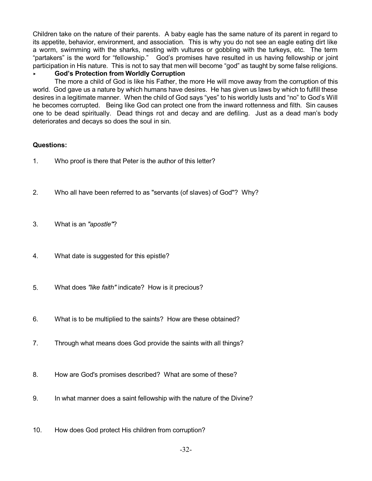Children take on the nature of their parents. A baby eagle has the same nature of its parent in regard to its appetite, behavior, environment, and association. This is why you do not see an eagle eating dirt like a worm, swimming with the sharks, nesting with vultures or gobbling with the turkeys, etc. The term "partakers" is the word for "fellowship." God's promises have resulted in us having fellowship or joint participation in His nature. This is not to say that men will become "god" as taught by some false religions.

# < **God's Protection from Worldly Corruption**

The more a child of God is like his Father, the more He will move away from the corruption of this world. God gave us a nature by which humans have desires. He has given us laws by which to fulfill these desires in a legitimate manner. When the child of God says "yes" to his worldly lusts and "no" to God's Will he becomes corrupted. Being like God can protect one from the inward rottenness and filth. Sin causes one to be dead spiritually. Dead things rot and decay and are defiling. Just as a dead man's body deteriorates and decays so does the soul in sin.

#### **Questions:**

- 1. Who proof is there that Peter is the author of this letter?
- 2. Who all have been referred to as "servants (of slaves) of God"? Why?
- 3. What is an *"apostle"*?
- 4. What date is suggested for this epistle?
- 5. What does *"like faith"* indicate? How is it precious?
- 6. What is to be multiplied to the saints? How are these obtained?
- 7. Through what means does God provide the saints with all things?
- 8. How are God's promises described? What are some of these?
- 9. In what manner does a saint fellowship with the nature of the Divine?
- 10. How does God protect His children from corruption?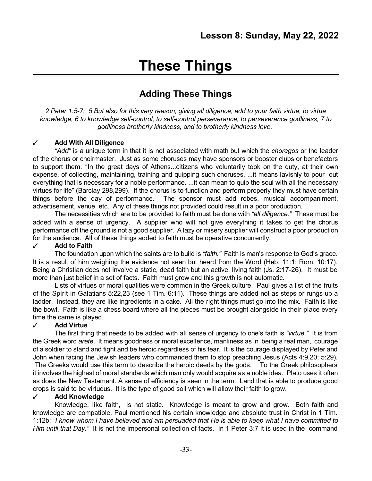# **These Things**

# **Adding These Things**

2 Peter 1:5-7: 5 But also for this very reason, giving all diligence, add to your faith virtue, to virtue *knowledge, 6 to knowledge self-control, to self-control perseverance, to perseverance godliness, 7 to godliness brotherly kindness, and to brotherly kindness love.*

# T **Add With All Diligence**

*"Add"* is a unique term in that it is not associated with math but which the *choregos* or the leader of the chorus or choirmaster. Just as some choruses may have sponsors or booster clubs or benefactors to support them. "In the great days of Athens...citizens who voluntarily took on the duty, at their own expense, of collecting, maintaining, training and quipping such choruses. ...it means lavishly to pour out everything that is necessary for a noble performance. ...it can mean to quip the soul with all the necessary virtues for life" (Barclay 298,299). If the chorus is to function and perform properly they must have certain things before the day of performance. The sponsor must add robes, musical accompaniment, advertisement, venue, etc. Any of these things not provided could result in a poor production.

The necessities which are to be provided to faith must be done with *"all diligence."* These must be added with a sense of urgency. A supplier who will not give everything it takes to get the chorus performance off the ground is not a good supplier. A lazy or misery supplier will construct a poor production for the audience. All of these things added to faith must be operative concurrently.

# T **Add to Faith**

The foundation upon which the saints are to build is *"faith."* Faith is man's response to God's grace. It is a result of him weighing the evidence not seen but heard from the Word (Heb. 11:1; Rom. 10:17). Being a Christian does not involve a static, dead faith but an active, living faith (Js. 2:17-26). It must be more than just belief in a set of facts. Faith must grow and this growth is not automatic.

Lists of virtues or moral qualities were common in the Greek culture. Paul gives a list of the fruits of the Spirit in Galatians 5:22,23 (see 1 Tim. 6:11). These things are added not as steps or rungs up a ladder. Instead, they are like ingredients in a cake. All the right things must go into the mix. Faith is like the bowl. Faith is like a chess board where all the pieces must be brought alongside in their place every time the came is played.

# T **Add Virtue**

The first thing that needs to be added with all sense of urgency to one's faith is *"virtue."* It is from the Greek word *arete*. It means goodness or moral excellence, manliness as in being a real man, courage of a soldier to stand and fight and be heroic regardless of his fear. It is the courage displayed by Peter and John when facing the Jewish leaders who commanded them to stop preaching Jesus (Acts 4:9,20; 5:29).

The Greeks would use this term to describe the heroic deeds by the gods. To the Greek philosophers it involves the highest of moral standards which man only would acquire as a noble idea. Plato uses it often as does the New Testament. A sense of efficiency is seen in the term. Land that is able to produce good crops is said to be virtuous. It is the type of good soil which will allow their faith to grow.

#### T **Add Knowledge**

Knowledge, like faith, is not static. Knowledge is meant to grow and grow. Both faith and knowledge are compatible. Paul mentioned his certain knowledge and absolute trust in Christ in 1 Tim. 1:12b: "I know whom I have believed and am persuaded that He is able to keep what I have committed to *Him until that Day."* It is not the impersonal collection of facts. In 1 Peter 3:7 it is used in the command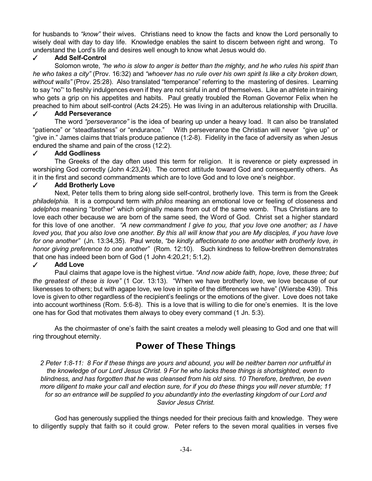for husbands to *"know"* their wives. Christians need to know the facts and know the Lord personally to wisely deal with day to day life. Knowledge enables the saint to discern between right and wrong. To understand the Lord's life and desires well enough to know what Jesus would do.

# T **Add Self-Control**

Solomon wrote, "he who is slow to anger is better than the mighty, and he who rules his spirit than he who takes a city" (Prov. 16:32) and "whoever has no rule over his own spirit Is like a city broken down. *without walls"* (Prov. 25:28). Also translated "temperance" referring to the mastering of desires. Learning to say "no"' to fleshly indulgences even if they are not sinful in and of themselves. Like an athlete in training who gets a grip on his appetites and habits. Paul greatly troubled the Roman Governor Felix when he preached to him about self-control (Acts 24:25). He was living in an adulterous relationship with Drucilla.

#### T **Add Perseverance**

The word *"perseverance"* is the idea of bearing up under a heavy load. It can also be translated "patience" or "steadfastness" or "endurance." With perseverance the Christian will never "give up" or "give in." James claims that trials produce patience (1:2-8). Fidelity in the face of adversity as when Jesus endured the shame and pain of the cross (12:2).

#### T **Add Godliness**

The Greeks of the day often used this term for religion. It is reverence or piety expressed in worshiping God correctly (John 4:23,24). The correct attitude toward God and consequently others. As it in the first and second commandments which are to love God and to love one's neighbor.

#### T **Add Brotherly Love**

Next, Peter tells them to bring along side self-control, brotherly love. This term is from the Greek *philadelphia*. It is a compound term with *philos* meaning an emotional love or feeling of closeness and *adelphos* meaning "brother" which originally means from out of the same womb. Thus Christians are to love each other because we are born of the same seed, the Word of God. Christ set a higher standard for this love of one another. *"A new commandment I give to you, that you love one another; as I have* loved you, that you also love one another. By this all will know that you are My disciples, if you have love *for one another"* (Jn. 13:34,35). Paul wrote, *"be kindly affectionate to one another with brotherly love, in honor giving preference to one another"* (Rom. 12:10). Such kindness to fellow-brethren demonstrates that one has indeed been born of God (1 John 4:20,21; 5:1,2).

# $\checkmark$  **Add** Love

Paul claims that *agape* love is the highest virtue. *"And now abide faith, hope, love, these three; but the greatest of these is love"* (1 Cor. 13:13). "When we have brotherly love, we love because of our likenesses to others; but with agape love, we love in spite of the differences we have" (Wiersbe 439). This love is given to other regardless of the recipient's feelings or the emotions of the giver. Love does not take into account worthiness (Rom. 5:6-8). This is a love that is willing to die for one's enemies. It is the love one has for God that motivates them always to obey every command (1 Jn. 5:3).

As the choirmaster of one's faith the saint creates a melody well pleasing to God and one that will ring throughout eternity.

# **Power of These Things**

2 Peter 1:8-11: 8 For if these things are yours and abound, you will be neither barren nor unfruitful in *the knowledge of our Lord Jesus Christ. 9 For he who lacks these things is shortsighted, even to blindness, and has forgotten that he was cleansed from his old sins. 10 Therefore, brethren, be even* more diligent to make your call and election sure, for if you do these things you will never stumble; 11 *for so an entrance will be supplied to you abundantly into the everlasting kingdom of our Lord and Savior Jesus Christ.*

God has generously supplied the things needed for their precious faith and knowledge. They were to diligently supply that faith so it could grow. Peter refers to the seven moral qualities in verses five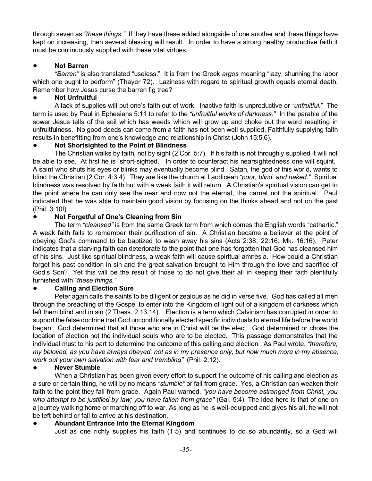through seven as *"these things."* If they have these added alongside of one another and these things have kept on increasing, then several blessing will result. In order to have a strong healthy productive faith it must be continuously supplied with these vital virtues.

# ! **Not Barren**

*"Barren"* is also translated "useless." It is from the Greek *argos* meaning "lazy, shunning the labor which one ought to perform" (Thayer 72). Laziness with regard to spiritual growth equals eternal death. Remember how Jesus curse the barren fig tree?

# ! **Not Unfruitful**

A lack of supplies will put one's faith out of work. Inactive faith is unproductive or *"unfruitful.*" The term is used by Paul in Ephesians 5:11 to refer to the *"unfruitful works of darkness."* In the parable of the sower Jesus tells of the soil which has weeds which will grow up and choke out the word resulting in unfruitfulness. No good deeds can come from a faith has not been well supplied. Faithfully supplying faith results in benefitting from one's knowledge and relationship in Christ (John 15:5,6).

# ! **Not Shortsighted to the Point of Blindness**

The Christian walks by faith, not by sight (2 Cor. 5:7). If his faith is not throughly supplied it will not be able to see. At first he is "short-sighted." In order to counteract his nearsightedness one will squint. A saint who shuts his eyes or blinks may eventually become blind. Satan, the god of this world, wants to blind the Christian (2 Cor. 4:3,4). They are like the church at Laodicean *"poor, blind, and naked."* Spiritual blindness was resolved by faith but with a weak faith it will return. A Christian's spiritual vision can get to the point where he can only see the near and now not the eternal, the carnal not the spiritual. Paul indicated that he was able to maintain good vision by focusing on the thinks ahead and not on the past (Phil. 3:10f).

# ! **Not Forgetful of One's Cleaning from Sin**

The term *"cleansed"* is from the same Greek term from which comes the English words "cathartic." A weak faith fails to remember their purification of sin. A Christian became a believer at the point of obeying God's command to be baptized to wash away his sins (Acts 2:38; 22:16; Mk. 16:16). Peter indicates that a starving faith can deteriorate to the point that one has forgotten that God has cleansed him of his sins. Just like spiritual blindness, a weak faith will cause spiritual amnesia. How could a Christian forget his past condition in sin and the great salvation brought to Him through the love and sacrifice of God's Son? Yet this will be the result of those to do not give their all in keeping their faith plentifully furnished with *"these things."*

# ! **Calling and Election Sure**

Peter again calls the saints to be diligent or zealous as he did in verse five. God has called all men through the preaching of the Gospel to enter into the Kingdom of light out of a kingdom of darkness which left them blind and in sin (2 Thess. 2:13,14). Election is a term which Calvinism has corrupted in order to support the false doctrine that God unconditionally elected specific individuals to eternal life before the world began. God determined that all those who are in Christ will be the elect. God determined or chose the location of election not the individual souls who are to be elected. This passage demonstrates that the individual must to his part to determine the outcome of this calling and election. As Paul wrote, *"therefore,* my beloved, as you have always obeyed, not as in my presence only, but now much more in my absence, *work out your own salvation with fear and trembling"* (Phil. 2:12).

# ! **Never Stumble**

When a Christian has been given every effort to support the outcome of his calling and election as a sure or certain thing, he will by no means *"stumble"* or fall from grace. Yes, a Christian can weaken their faith to the point they fall from grace. Again Paul warned, *"you have become estranged from Christ, you who attempt to be justified by law; you have fallen from grace"* (Gal. 5:4). The idea here is that of one on a journey walking home or marching off to war. As long as he is well-equipped and gives his all, he will not be left behind or fail to arrive at his destination.

# ! **Abundant Entrance into the Eternal Kingdom**

Just as one richly supplies his faith (1:5) and continues to do so abundantly, so a God will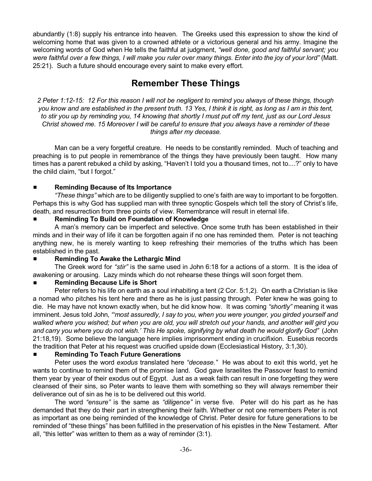abundantly (1:8) supply his entrance into heaven. The Greeks used this expression to show the kind of welcoming home that was given to a crowned athlete or a victorious general and his army. Imagine the welcoming words of God when He tells the faithful at judgment, *"well done, good and faithful servant; you* were faithful over a few things, I will make you ruler over many things. Enter into the joy of your lord" (Matt. 25:21). Such a future should encourage every saint to make every effort.

# **Remember These Things**

2 Peter 1:12-15: 12 For this reason I will not be negligent to remind you always of these things, though you know and are established in the present truth. 13 Yes, I think it is right, as long as I am in this tent, to stir you up by reminding you, 14 knowing that shortly I must put off my tent, just as our Lord Jesus *Christ showed me. 15 Moreover I will be careful to ensure that you always have a reminder of these things after my decease.*

Man can be a very forgetful creature. He needs to be constantly reminded. Much of teaching and preaching is to put people in remembrance of the things they have previously been taught. How many times has a parent rebuked a child by asking, "Haven't I told you a thousand times, not to....?" only to have the child claim, "but I forgot."

# # **Reminding Because of Its Importance**

*"These things"* which are to be diligently supplied to one's faith are way to important to be forgotten. Perhaps this is why God has supplied man with three synoptic Gospels which tell the story of Christ's life, death, and resurrection from three points of view. Remembrance will result in eternal life.

# # **Reminding To Build on Foundation of Knowledge**

A man's memory can be imperfect and selective. Once some truth has been established in their minds and in their way of life it can be forgotten again if no one has reminded them. Peter is not teaching anything new, he is merely wanting to keep refreshing their memories of the truths which has been established in the past.

# # **Reminding To Awake the Lethargic Mind**

The Greek word for *"stir"* is the same used in John 6:18 for a actions of a storm. It is the idea of awakening or arousing. Lazy minds which do not rehearse these things will soon forget them.

# # **Reminding Because Life is Short**

Peter refers to his life on earth as a soul inhabiting a tent (2 Cor. 5:1,2). On earth a Christian is like a nomad who pitches his tent here and there as he is just passing through. Peter knew he was going to die. He may have not known exactly when, but he did know how. It was coming *"shortly"* meaning it was imminent. Jesus told John, *"'most assuredly, I say to you, when you were younger, you girded yourself and* walked where you wished; but when you are old, you will stretch out your hands, and another will gird you and carry you where you do not wish.' This He spoke, signifying by what death he would glorify God" (John 21:18,19). Some believe the language here implies imprisonment ending in crucifixion. Eusebius records the tradition that Peter at his request was crucified upside down (Ecclesiastical History, 3:1,30).

# # **Reminding To Teach Future Generations**

Peter uses the word *exodus* translated here *"decease."* He was about to exit this world, yet he wants to continue to remind them of the promise land. God gave Israelites the Passover feast to remind them year by year of their exodus out of Egypt. Just as a weak faith can result in one forgetting they were cleansed of their sins, so Peter wants to leave them with something so they will always remember their deliverance out of sin as he is to be delivered out this world.

The word *"ensure"* is the same as *"diligence"* in verse five. Peter will do his part as he has demanded that they do their part in strengthening their faith. Whether or not one remembers Peter is not as important as one being reminded of the knowledge of Christ. Peter desire for future generations to be reminded of "these things" has been fulfilled in the preservation of his epistles in the New Testament. After all, "this letter" was written to them as a way of reminder (3:1).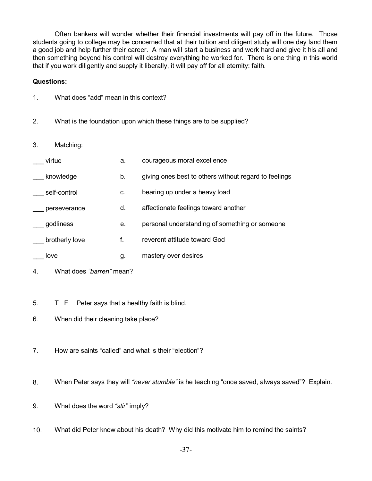Often bankers will wonder whether their financial investments will pay off in the future. Those students going to college may be concerned that at their tuition and diligent study will one day land them a good job and help further their career. A man will start a business and work hard and give it his all and then something beyond his control will destroy everything he worked for. There is one thing in this world that if you work diligently and supply it liberally, it will pay off for all eternity: faith.

## **Questions:**

- 1. What does "add" mean in this context?
- 2. What is the foundation upon which these things are to be supplied?
- 3. Matching:

| virtue         | а. | courageous moral excellence                           |
|----------------|----|-------------------------------------------------------|
| knowledge      | b. | giving ones best to others without regard to feelings |
| self-control   | c. | bearing up under a heavy load                         |
| perseverance   | d. | affectionate feelings toward another                  |
| godliness      | е. | personal understanding of something or someone        |
| brotherly love | f. | reverent attitude toward God                          |
| love           | g. | mastery over desires                                  |

- 4. What does *"barren"* mean?
- 5. T F Peter says that a healthy faith is blind.
- 6. When did their cleaning take place?
- 7. How are saints "called" and what is their "election"?
- 8. When Peter says they will *"never stumble"* is he teaching "once saved, always saved"? Explain.
- 9. What does the word *"stir"* imply?
- 10. What did Peter know about his death? Why did this motivate him to remind the saints?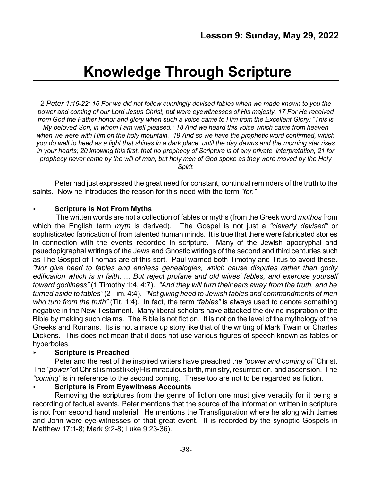# **Knowledge Through Scripture**

*2 Peter 1:16-22: 16 For we did not follow cunningly devised fables when we made known to you the* power and coming of our Lord Jesus Christ, but were eyewitnesses of His majesty. 17 For He received from God the Father honor and glory when such a voice came to Him from the Excellent Glory: "This is *My beloved Son, in whom I am well pleased." 18 And we heard this voice which came from heaven* when we were with Him on the holy mountain. 19 And so we have the prophetic word confirmed, which you do well to heed as a light that shines in a dark place, until the day dawns and the morning star rises in your hearts: 20 knowing this first, that no prophecy of Scripture is of any private interpretation, 21 for prophecy never came by the will of man, but holy men of God spoke as they were moved by the Holy *Spirit.*

Peter had just expressed the great need for constant, continual reminders of the truth to the saints. Now he introduces the reason for this need with the term *"for."* 

# < **Scripture is Not From Myths**

The written words are not a collection of fables or myths (from the Greek word *muthos* from which the English term *myth* is derived). The Gospel is not just a *"cleverly devised"* or sophisticated fabrication of from talented human minds. It is true that there were fabricated stories in connection with the events recorded in scripture. Many of the Jewish apocryphal and psuedopigraphal writings of the Jews and Gnostic writings of the second and third centuries such as The Gospel of Thomas are of this sort. Paul warned both Timothy and Titus to avoid these. *"Nor give heed to fables and endless genealogies, which cause disputes rather than godly edification which is in faith. ... But reject profane and old wives' fables, and exercise yourself toward godliness"* (1 Timothy 1:4, 4:7). *"And they will turn their ears away from the truth, and be turned aside to fables"* (2 Tim. 4:4). *"Not giving heed to Jewish fables and commandments of men who turn from the truth"* (Tit. 1:4). In fact, the term *"fables"* is always used to denote something negative in the New Testament. Many liberal scholars have attacked the divine inspiration of the Bible by making such claims. The Bible is not fiction. It is not on the level of the mythology of the Greeks and Romans. Its is not a made up story like that of the writing of Mark Twain or Charles Dickens. This does not mean that it does not use various figures of speech known as fables or hyperboles.

# < **Scripture is Preached**

Peter and the rest of the inspired writers have preached the *"power and coming of"* Christ. The *"power"* of Christ is most likely His miraculous birth, ministry, resurrection, and ascension. The *"coming"* is in reference to the second coming. These too are not to be regarded as fiction.

# < **Scripture is From Eyewitness Accounts**

Removing the scriptures from the genre of fiction one must give veracity for it being a recording of factual events. Peter mentions that the source of the information written in scripture is not from second hand material. He mentions the Transfiguration where he along with James and John were eye-witnesses of that great event. It is recorded by the synoptic Gospels in Matthew 17:1-8; Mark 9:2-8; Luke 9:23-36).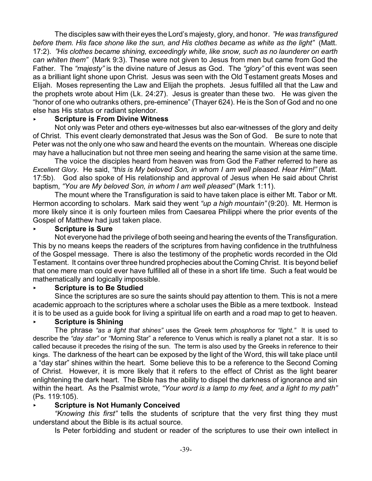The disciples saw with their eyes the Lord's majesty, glory, and honor. *"He was transfigured before them. His face shone like the sun, and His clothes became as white as the light"* (Matt. 17:2). *"His clothes became shining, exceedingly white, like snow, such as no launderer on earth can whiten them"* (Mark 9:3). These were not given to Jesus from men but came from God the Father. The *"majesty"* is the divine nature of Jesus as God. The *"glory"* of this event was seen as a brilliant light shone upon Christ. Jesus was seen with the Old Testament greats Moses and Elijah. Moses representing the Law and Elijah the prophets. Jesus fulfilled all that the Law and the prophets wrote about Him (Lk. 24:27). Jesus is greater than these two. He was given the "honor of one who outranks others, pre-eminence" (Thayer 624). He is the Son of God and no one else has His status or radiant splendor.

# < **Scripture is From Divine Witness**

Not only was Peter and others eye-witnesses but also ear-witnesses of the glory and deity of Christ. This event clearly demonstrated that Jesus was the Son of God. Be sure to note that Peter was not the only one who saw and heard the events on the mountain. Whereas one disciple may have a hallucination but not three men seeing and hearing the same vision at the same time.

The voice the disciples heard from heaven was from God the Father referred to here as *Excellent Glory*. He said, *"this is My beloved Son, in whom I am well pleased. Hear Him!"* (Matt. 17:5b). God also spoke of His relationship and approval of Jesus when He said about Christ baptism, *"You are My beloved Son, in whom I am well pleased"* (Mark 1:11).

The mount where the Transfiguration is said to have taken place is either Mt. Tabor or Mt. Hermon according to scholars. Mark said they went *"up a high mountain"* (9:20). Mt. Hermon is more likely since it is only fourteen miles from Caesarea Philippi where the prior events of the Gospel of Matthew had just taken place.

# < **Scripture is Sure**

Not everyone had the privilege of both seeing and hearing the events of the Transfiguration. This by no means keeps the readers of the scriptures from having confidence in the truthfulness of the Gospel message. There is also the testimony of the prophetic words recorded in the Old Testament. It contains over three hundred prophecies about the Coming Christ. It is beyond belief that one mere man could ever have fulfilled all of these in a short life time. Such a feat would be mathematically and logically impossible.

# < **Scripture is to Be Studied**

Since the scriptures are so sure the saints should pay attention to them. This is not a mere academic approach to the scriptures where a scholar uses the Bible as a mere textbook. Instead it is to be used as a guide book for living a spiritual life on earth and a road map to get to heaven.

# < **Scripture is Shining**

The phrase *"as a light that shines"* uses the Greek term *phosphoros* for *"light."* It is used to describe the *"day star"* or "Morning Star" a reference to Venus which is really a planet not a star. It is so called because it precedes the rising of the sun. The term is also used by the Greeks in reference to their kings. The darkness of the heart can be exposed by the light of the Word, this will take place until a "day star" shines within the heart. Some believe this to be a reference to the Second Coming of Christ. However, it is more likely that it refers to the effect of Christ as the light bearer enlightening the dark heart. The Bible has the ability to dispel the darkness of ignorance and sin within the heart. As the Psalmist wrote, *"Your word is a lamp to my feet, and a light to my path"* (Ps. 119:105).

# < **Scripture is Not Humanly Conceived**

*"Knowing this first"* tells the students of scripture that the very first thing they must understand about the Bible is its actual source.

Is Peter forbidding and student or reader of the scriptures to use their own intellect in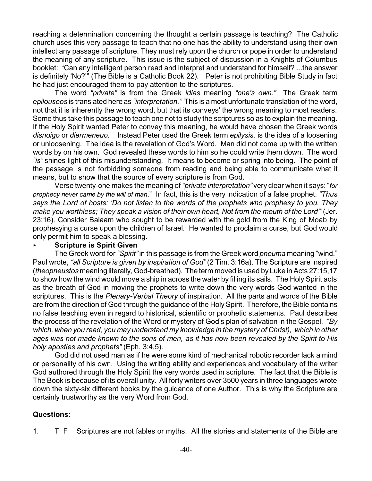reaching a determination concerning the thought a certain passage is teaching? The Catholic church uses this very passage to teach that no one has the ability to understand using their own intellect any passage of scripture. They must rely upon the church or pope in order to understand the meaning of any scripture. This issue is the subject of discussion in a Knights of Columbus booklet: "Can any intelligent person read and interpret and understand for himself? ...the answer is definitely 'No?'" (The Bible is a Catholic Book 22). Peter is not prohibiting Bible Study in fact he had just encouraged them to pay attention to the scriptures.

The word *"private"* is from the Greek *idias* meaning *"one's own."* The Greek term *epilouseos* is translated here as *"interpretation."* This is a most unfortunate translation of the word, not that it is inherently the wrong word, but that its conveys' the wrong meaning to most readers. Some thus take this passage to teach one not to study the scriptures so as to explain the meaning. If the Holy Spirit wanted Peter to convey this meaning, he would have chosen the Greek words *disnoigo* or *diermeneuo.* Instead Peter used the Greek term *epilysis.* is the idea of a loosening or unloosening. The idea is the revelation of God's Word. Man did not come up with the written words by on his own. God revealed these words to him so he could write them down. The word *"is"* shines light of this misunderstanding. It means to become or spring into being. The point of the passage is not forbidding someone from reading and being able to communicate what it means, but to show that the source of every scripture is from God.

Verse twenty-one makes the meaning of *"private interpretation"* very clear when it says: "*for prophecy never came by the will of man*." In fact, this is the very indication of a false prophet. *"Thus says the Lord of hosts: 'Do not listen to the words of the prophets who prophesy to you. They make you worthless; They speak a vision of their own heart, Not from the mouth of the Lord'"* (Jer. 23:16). Consider Balaam who sought to be rewarded with the gold from the King of Moab by prophesying a curse upon the children of Israel. He wanted to proclaim a curse, but God would only permit him to speak a blessing.

# < **Scripture is Spirit Given**

The Greek word for *"Spirit"*in this passage is from the Greek word *pneuma* meaning "wind." Paul wrote, *"all Scripture is given by inspiration of God"* (2 Tim. 3:16a). The Scripture are inspired (*theopneustos* meaning literally, God-breathed). The term moved is used by Luke in Acts 27:15,17 to show how the wind would move a ship in across the water by filling its sails. The Holy Spirit acts as the breath of God in moving the prophets to write down the very words God wanted in the scriptures. This is the *Plenary-Verbal Theory* of inspiration. All the parts and words of the Bible are from the direction of God through the guidance of the Holy Spirit. Therefore, the Bible contains no false teaching even in regard to historical, scientific or prophetic statements. Paul describes the process of the revelation of the Word or mystery of God's plan of salvation in the Gospel. *"By which, when you read, you may understand my knowledge in the mystery of Christ), which in other ages was not made known to the sons of men, as it has now been revealed by the Spirit to His holy apostles and prophets"* (Eph. 3:4,5).

God did not used man as if he were some kind of mechanical robotic recorder lack a mind or personality of his own. Using the writing ability and experiences and vocabulary of the writer God authored through the Holy Spirit the very words used in scripture. The fact that the Bible is The Book is because of its overall unity. All forty writers over 3500 years in three languages wrote down the sixty-six different books by the guidance of one Author. This is why the Scripture are certainly trustworthy as the very Word from God.

# **Questions:**

1. T F Scriptures are not fables or myths. All the stories and statements of the Bible are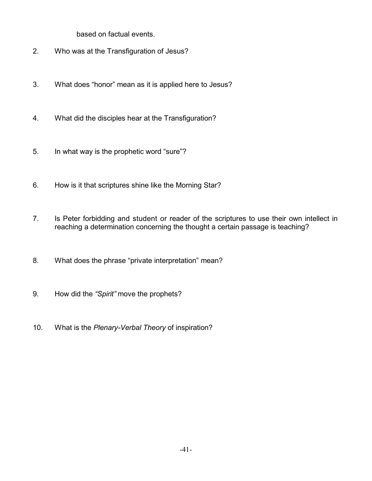based on factual events.

- 2. Who was at the Transfiguration of Jesus?
- 3. What does "honor" mean as it is applied here to Jesus?
- 4. What did the disciples hear at the Transfiguration?
- 5. In what way is the prophetic word "sure"?
- 6. How is it that scriptures shine like the Morning Star?
- 7. Is Peter forbidding and student or reader of the scriptures to use their own intellect in reaching a determination concerning the thought a certain passage is teaching?
- 8. What does the phrase "private interpretation" mean?
- 9. How did the *"Spirit"* move the prophets?
- 10. What is the *Plenary-Verbal Theory* of inspiration?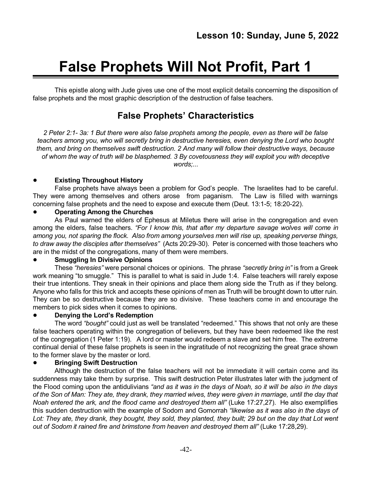# **False Prophets Will Not Profit, Part 1**

This epistle along with Jude gives use one of the most explicit details concerning the disposition of false prophets and the most graphic description of the destruction of false teachers.

# **False Prophets' Characteristics**

2 Peter 2:1- 3a: 1 But there were also false prophets among the people, even as there will be false *teachers among you, who will secretly bring in destructive heresies, even denying the Lord who bought them, and bring on themselves swift destruction. 2 And many will follow their destructive ways, because of whom the way of truth will be blasphemed. 3 By covetousness they will exploit you with deceptive words;...*

# ! **Existing Throughout History**

False prophets have always been a problem for God's people. The Israelites had to be careful. They were among themselves and others arose from paganism. The Law is filled with warnings concerning false prophets and the need to expose and execute them (Deut. 13:1-5; 18:20-22).

# ! **Operating Among the Churches**

As Paul warned the elders of Ephesus at Miletus there will arise in the congregation and even among the elders, false teachers. *"For I know this, that after my departure savage wolves will come in among you, not sparing the flock. Also from among yourselves men will rise up, speaking perverse things, to draw away the disciples after themselves"* (Acts 20:29-30). Peter is concerned with those teachers who are in the midst of the congregations, many of them were members.

# ! **Smuggling In Divisive Opinions**

These *"heresies"* were personal choices or opinions. The phrase *"secretly bring in"* is from a Greek work meaning "to smuggle." This is parallel to what is said in Jude 1:4. False teachers will rarely expose their true intentions. They sneak in their opinions and place them along side the Truth as if they belong. Anyone who falls for this trick and accepts these opinions of men as Truth will be brought down to utter ruin. They can be so destructive because they are so divisive. These teachers come in and encourage the members to pick sides when it comes to opinions.

# ! **Denying the Lord's Redemption**

The word *"bought"* could just as well be translated "redeemed." This shows that not only are these false teachers operating within the congregation of believers, but they have been redeemed like the rest of the congregation (1 Peter 1:19). A lord or master would redeem a slave and set him free. The extreme continual denial of these false prophets is seen in the ingratitude of not recognizing the great grace shown to the former slave by the master or lord.

# ! **Bringing Swift Destruction**

Although the destruction of the false teachers will not be immediate it will certain come and its suddenness may take them by surprise. This swift destruction Peter illustrates later with the judgment of the Flood coming upon the antidulivians *"and as it was in the days of Noah, so it will be also in the days* of the Son of Man: They ate, they drank, they married wives, they were given in marriage, until the day that *Noah entered the ark, and the flood came and destroyed them all"* (Luke 17:27,27). He also exemplifies this sudden destruction with the example of Sodom and Gomorrah *"likewise as it was also in the days of* Lot: They ate, they drank, they bought, they sold, they planted, they built; 29 but on the day that Lot went *out of Sodom it rained fire and brimstone from heaven and destroyed them all"* (Luke 17:28,29).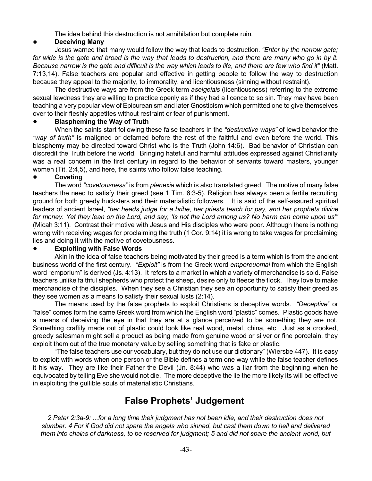The idea behind this destruction is not annihilation but complete ruin.

## ! **Deceiving Many**

Jesus warned that many would follow the way that leads to destruction. *"Enter by the narrow gate;* for wide is the gate and broad is the way that leads to destruction, and there are many who go in by it. Because narrow is the gate and difficult is the way which leads to life, and there are few who find it" (Matt. 7:13,14). False teachers are popular and effective in getting people to follow the way to destruction because they appeal to the majority, to immorality, and licentiousness (sinning without restraint).

The destructive ways are from the Greek term *aselgeiais* (licentiousness) referring to the extreme sexual lewdness they are willing to practice openly as if they had a licence to so sin. They may have been teaching a very popular view of Epicureanism and later Gnosticism which permitted one to give themselves over to their fleshly appetites without restraint or fear of punishment.

#### ! **Blaspheming the Way of Truth**

When the saints start following these false teachers in the *"destructive ways"* of lewd behavior the *"way of truth"* is maligned or defamed before the rest of the faithful and even before the world. This blasphemy may be directed toward Christ who is the Truth (John 14:6). Bad behavior of Christian can discredit the Truth before the world. Bringing hateful and harmful attitudes expressed against Christianity was a real concern in the first century in regard to the behavior of servants toward masters, younger women (Tit. 2:4,5), and here, the saints who follow false teaching.

#### ! **Coveting**

The word *"covetousness"* is from *plenexia* which is also translated greed. The motive of many false teachers the need to satisfy their greed (see 1 Tim. 6:3-5). Religion has always been a fertile recruiting ground for both greedy hucksters and their materialistic followers. It is said of the self-assured spiritual leaders of ancient Israel, *"her heads judge for a bribe, her priests teach for pay, and her prophets divine* for money. Yet they lean on the Lord, and say, 'Is not the Lord among us? No harm can come upon us" (Micah 3:11). Contrast their motive with Jesus and His disciples who were poor. Although there is nothing wrong with receiving wages for proclaiming the truth (1 Cor. 9:14) it is wrong to take wages for proclaiming lies and doing it with the motive of covetousness.

#### ! **Exploiting with False Words**

Akin in the idea of false teachers being motivated by their greed is a term which is from the ancient business world of the first century. *"Exploit"* is from the Greek word *emporeuomai* from which the English word "emporium" is derived (Js. 4:13). It refers to a market in which a variety of merchandise is sold. False teachers unlike faithful shepherds who protect the sheep, desire only to fleece the flock. They love to make merchandise of the disciples. When they see a Christian they see an opportunity to satisfy their greed as they see women as a means to satisfy their sexual lusts (2:14).

The means used by the false prophets to exploit Christians is deceptive words. *"Deceptive"* or "false" comes form the same Greek word from which the English word "plastic" comes. Plastic goods have a means of deceiving the eye in that they are at a glance perceived to be something they are not. Something craftily made out of plastic could look like real wood, metal, china, etc. Just as a crooked, greedy salesman might sell a product as being made from genuine wood or silver or fine porcelain, they exploit them out of the true monetary value by selling something that is fake or plastic.

"The false teachers use our vocabulary, but they do not use our dictionary" (Wiersbe 447). It is easy to exploit with words when one person or the Bible defines a term one way while the false teacher defines it his way. They are like their Father the Devil (Jn. 8:44) who was a liar from the beginning when he equivocated by telling Eve she would not die. The more deceptive the lie the more likely its will be effective in exploiting the gullible souls of materialistic Christians.

# **False Prophets' Judgement**

2 Peter 2:3a-9: ...for a long time their judgment has not been idle, and their destruction does not slumber. 4 For if God did not spare the angels who sinned, but cast them down to hell and delivered them into chains of darkness, to be reserved for judgment; 5 and did not spare the ancient world, but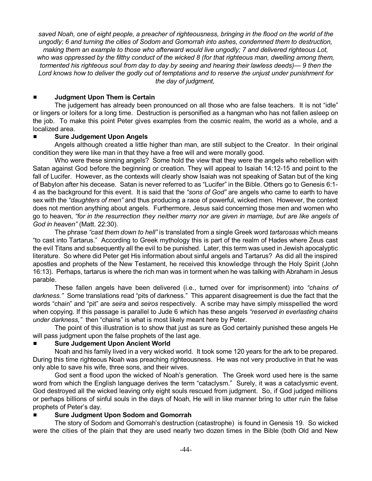saved Noah, one of eight people, a preacher of righteousness, bringing in the flood on the world of the *ungodly; 6 and turning the cities of Sodom and Gomorrah into ashes, condemned them to destruction, making them an example to those who afterward would live ungodly; 7 and delivered righteous Lot,* who was oppressed by the filthy conduct of the wicked 8 (for that righteous man, dwelling among them, *tormented his righteous soul from day to day by seeing and hearing their lawless deeds)— 9 then the* Lord knows how to deliver the godly out of temptations and to reserve the unjust under punishment for *the day of judgment,*

#### # **Judgment Upon Them is Certain**

The judgement has already been pronounced on all those who are false teachers. It is not "idle" or lingers or loiters for a long time. Destruction is personified as a hangman who has not fallen asleep on the job. To make this point Peter gives examples from the cosmic realm, the world as a whole, and a localized area.

#### # **Sure Judgement Upon Angels**

Angels although created a little higher than man, are still subject to the Creator. In their original condition they were like man in that they have a free will and were morally good.

Who were these sinning angels? Some hold the view that they were the angels who rebellion with Satan against God before the beginning or creation. They will appeal to Isaiah 14:12-15 and point to the fall of Lucifer. However, as the contexts will clearly show Isaiah was not speaking of Satan but of the king of Babylon after his decease. Satan is never referred to as "Lucifer" in the Bible. Others go to Genesis 6:1- 4 as the background for this event. It is said that the *"sons of God"* are angels who came to earth to have sex with the *"daughters of men"* and thus producing a race of powerful, wicked men. However, the context does not mention anything about angels. Furthermore, Jesus said concerning those men and women who go to heaven, "for in the resurrection they neither marry nor are given in marriage, but are like angels of *God in heaven"* (Matt. 22:30).

The phrase *"cast them down to hell"* is translated from a single Greek word *tartarosas* which means "to cast into Tartarus." According to Greek mythology this is part of the realm of Hades where Zeus cast the evil Titans and subsequently all the evil to be punished. Later, this term was used in Jewish apocalyptic literature. So where did Peter get His information about sinful angels and Tartarus? As did all the inspired apostles and prophets of the New Testament, he received this knowledge through the Holy Spirit (John 16:13). Perhaps, tartarus is where the rich man was in torment when he was talking with Abraham in Jesus parable.

These fallen angels have been delivered (i.e., turned over for imprisonment) into *"chains of darkness."* Some translations read "pits of darkness." This apparent disagreement is due the fact that the words "chain" and "pit" are *seira* and *seiros* respectively. A scribe may have simply misspelled the word when copying. If this passage is parallel to Jude 6 which has these angels *"reserved in everlasting chains under darkness,"* then "chains" is what is most likely meant here by Peter.

The point of this illustration is to show that just as sure as God certainly punished these angels He will pass judgment upon the false prophets of the last age.

#### # **Sure Judgement Upon Ancient World**

Noah and his family lived in a very wicked world. It took some 120 years for the ark to be prepared. During this time righteous Noah was preaching righteousness. He was not very productive in that he was only able to save his wife, three sons, and their wives.

God sent a flood upon the wicked of Noah's generation. The Greek word used here is the same word from which the English language derives the term "cataclysm." Surely, it was a cataclysmic event. God destroyed all the wicked leaving only eight souls rescued from judgment. So, if God judged millions or perhaps billions of sinful souls in the days of Noah, He will in like manner bring to utter ruin the false prophets of Peter's day.

# # **Sure Judgment Upon Sodom and Gomorrah**

The story of Sodom and Gomorrah's destruction (catastrophe) is found in Genesis 19. So wicked were the cities of the plain that they are used nearly two dozen times in the Bible (both Old and New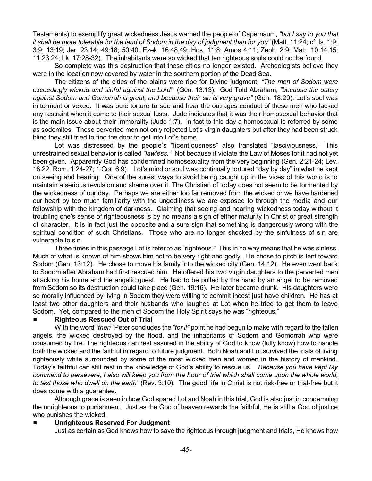Testaments) to exemplify great wickedness Jesus warned the people of Capernaum, *"but I say to you that* it shall be more tolerable for the land of Sodom in the day of judgment than for you" (Matt. 11:24; cf. Is. 1:9; 3:9; 13:19; Jer. 23:14; 49:18; 50:40; Ezek. 16:48,49; Hos. 11:8; Amos 4:11; Zeph. 2:9; Matt. 10:14,15; 11:23,24; Lk. 17:28-32). The inhabitants were so wicked that ten righteous souls could not be found.

So complete was this destruction that these cities no longer existed. Archeologists believe they were in the location now covered by water in the southern portion of the Dead Sea.

The citizens of the cities of the plains were ripe for Divine judgment*. "The men of Sodom were exceedingly wicked and sinful against the Lord"* (Gen. 13:13). God Told Abraham, *"because the outcry against Sodom and Gomorrah is great, and because their sin is very grave"* (Gen. 18:20). Lot's soul was in torment or vexed. It was pure torture to see and hear the outrages conduct of these men who lacked any restraint when it come to their sexual lusts. Jude indicates that it was their homosexual behavior that is the main issue about their immorality (Jude 1:7). In fact to this day a homosexual is referred by some as sodomites. These perverted men not only rejected Lot's virgin daughters but after they had been struck blind they still tried to find the door to get into Lot's home.

Lot was distressed by the people's "licentiousness" also translated "lasciviousness." This unrestrained sexual behavior is called *"lawless."* Not because it violate the Law of Moses for it had not yet been given. Apparently God has condemned homosexuality from the very beginning (Gen. 2:21-24; Lev. 18:22; Rom. 1:24-27; 1 Cor. 6:9). Lot's mind or soul was continually tortured "day by day" in what he kept on seeing and hearing. One of the surest ways to avoid being caught up in the vices of this world is to maintain a serious revulsion and shame over it. The Christian of today does not seem to be tormented by the wickedness of our day. Perhaps we are either too far removed from the wicked or we have hardened our heart by too much familiarity with the ungodliness we are exposed to through the media and our fellowship with the kingdom of darkness. Claiming that seeing and hearing wickedness today without it troubling one's sense of righteousness is by no means a sign of either maturity in Christ or great strength of character. It is in fact just the opposite and a sure sign that something is dangerously wrong with the spiritual condition of such Christians. Those who are no longer shocked by the sinfulness of sin are vulnerable to sin.

Three times in this passage Lot is refer to as "righteous." This in no way means that he was sinless. Much of what is known of him shows him not to be very right and godly. He chose to pitch is tent toward Sodom (Gen. 13:12). He chose to move his family into the wicked city (Gen. 14:12). He even went back to Sodom after Abraham had first rescued him. He offered his two virgin daughters to the perverted men attacking his home and the angelic guest. He had to be pulled by the hand by an angel to be removed from Sodom so its destruction could take place (Gen. 19:16). He later became drunk. His daughters were so morally influenced by living in Sodom they were willing to commit incest just have children. He has at least two other daughters and their husbands who laughed at Lot when he tried to get them to leave Sodom. Yet, compared to the men of Sodom the Holy Spirit says he was "righteous."

#### # **Righteous Rescued Out of Trial**

With the word *"then"* Peter concludes the *"for if"* point he had begun to make with regard to the fallen angels, the wicked destroyed by the flood, and the inhabitants of Sodom and Gomorrah who were consumed by fire. The righteous can rest assured in the ability of God to know (fully know) how to handle both the wicked and the faithful in regard to future judgment. Both Noah and Lot survived the trials of living righteously while surrounded by some of the most wicked men and women in the history of mankind. Today's faithful can still rest in the knowledge of God's ability to rescue us. *"Because you have kept My command to persevere, I also will keep you from the hour of trial which shall come upon the whole world, to test those who dwell on the earth"* (Rev. 3:10). The good life in Christ is not risk-free or trial-free but it does come with a guarantee.

Although grace is seen in how God spared Lot and Noah in this trial, God is also just in condemning the unrighteous to punishment. Just as the God of heaven rewards the faithful, He is still a God of justice who punishes the wicked.

#### # **Unrighteous Reserved For Judgment**

Just as certain as God knows how to save the righteous through judgment and trials, He knows how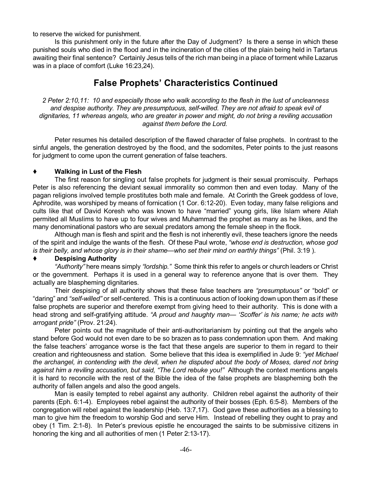to reserve the wicked for punishment.

Is this punishment only in the future after the Day of Judgment? Is there a sense in which these punished souls who died in the flood and in the incineration of the cities of the plain being held in Tartarus awaiting their final sentence? Certainly Jesus tells of the rich man being in a place of torment while Lazarus was in a place of comfort (Luke 16:23,24).

# **False Prophets' Characteristics Continued**

2 Peter 2:10,11: 10 and especially those who walk according to the flesh in the lust of uncleanness *and despise authority. They are presumptuous, self-willed. They are not afraid to speak evil of dignitaries, 11 whereas angels, who are greater in power and might, do not bring a reviling accusation against them before the Lord.*

Peter resumes his detailed description of the flawed character of false prophets. In contrast to the sinful angels, the generation destroyed by the flood, and the sodomites, Peter points to the just reasons for judgment to come upon the current generation of false teachers.

#### **Walking in Lust of the Flesh**

The first reason for singling out false prophets for judgment is their sexual promiscuity. Perhaps Peter is also referencing the deviant sexual immorality so common then and even today. Many of the pagan religions involved temple prostitutes both male and female. At Corinth the Greek goddess of love, Aphrodite, was worshiped by means of fornication (1 Cor. 6:12-20). Even today, many false religions and cults like that of David Koresh who was known to have "married" young girls, like Islam where Allah permited all Muslims to have up to four wives and Muhammad the prophet as many as he likes, and the many denominational pastors who are sexual predators among the female sheep in the flock.

Although man is flesh and spirit and the flesh is not inherently evil, these teachers ignore the needs of the spirit and indulge the wants of the flesh. Of these Paul wrote, *"whose end is destruction, whose god is their belly, and whose glory is in their shame—who set their mind on earthly things"* (Phil. 3:19 ).

# **Despising Authority**

*"Authority"* here means simply *"lordship."* Some think this refer to angels or church leaders or Christ or the government. Perhaps it is used in a general way to reference anyone that is over them. They actually are blaspheming dignitaries.

Their despising of all authority shows that these false teachers are *"presumptuous"* or "bold" or "daring" and *"self-willed"* or self-centered. This is a continuous action of looking down upon them as if these false prophets are superior and therefore exempt from giving heed to their authority. This is done with a head strong and self-gratifying attitude. *"A proud and haughty man— 'Scoffer' is his name; he acts with arrogant pride"* (Prov. 21:24).

Peter points out the magnitude of their anti-authoritarianism by pointing out that the angels who stand before God would not even dare to be so brazen as to pass condemnation upon them. And making the false teachers' arrogance worse is the fact that these angels are superior to them in regard to their creation and righteousness and station. Some believe that this idea is exemplified in Jude 9: *"yet Michael* the archangel, in contending with the devil, when he disputed about the body of Moses, dared not bring *against him a reviling accusation, but said, "The Lord rebuke you!"* Although the context mentions angels it is hard to reconcile with the rest of the Bible the idea of the false prophets are blaspheming both the authority of fallen angels and also the good angels.

Man is easily tempted to rebel against any authority. Children rebel against the authority of their parents (Eph. 6:1-4). Employees rebel against the authority of their bosses (Eph. 6:5-8). Members of the congregation will rebel against the leadership (Heb. 13:7,17). God gave these authorities as a blessing to man to give him the freedom to worship God and serve Him. Instead of rebelling they ought to pray and obey (1 Tim. 2:1-8). In Peter's previous epistle he encouraged the saints to be submissive citizens in honoring the king and all authorities of men (1 Peter 2:13-17).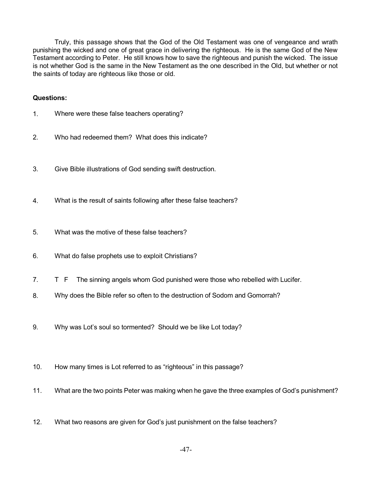Truly, this passage shows that the God of the Old Testament was one of vengeance and wrath punishing the wicked and one of great grace in delivering the righteous. He is the same God of the New Testament according to Peter. He still knows how to save the righteous and punish the wicked. The issue is not whether God is the same in the New Testament as the one described in the Old, but whether or not the saints of today are righteous like those or old.

#### **Questions:**

- 1. Where were these false teachers operating?
- 2. Who had redeemed them? What does this indicate?
- 3. Give Bible illustrations of God sending swift destruction.
- 4. What is the result of saints following after these false teachers?
- 5. What was the motive of these false teachers?
- 6. What do false prophets use to exploit Christians?
- 7. T F The sinning angels whom God punished were those who rebelled with Lucifer.
- 8. Why does the Bible refer so often to the destruction of Sodom and Gomorrah?
- 9. Why was Lot's soul so tormented? Should we be like Lot today?
- 10. How many times is Lot referred to as "righteous" in this passage?
- 11. What are the two points Peter was making when he gave the three examples of God's punishment?
- 12. What two reasons are given for God's just punishment on the false teachers?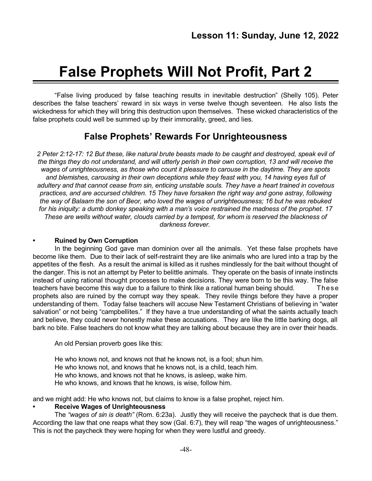# **False Prophets Will Not Profit, Part 2**

"False living produced by false teaching results in inevitable destruction" (Shelly 105). Peter describes the false teachers' reward in six ways in verse twelve though seventeen. He also lists the wickedness for which they will bring this destruction upon themselves. These wicked characteristics of the false prophets could well be summed up by their immorality, greed, and lies.

# **False Prophets' Rewards For Unrighteousness**

2 Peter 2:12-17: 12 But these, like natural brute beasts made to be caught and destroyed, speak evil of the things they do not understand, and will utterly perish in their own corruption, 13 and will receive the *wages of unrighteousness, as those who count it pleasure to carouse in the daytime. They are spots and blemishes, carousing in their own deceptions while they feast with you, 14 having eyes full of adultery and that cannot cease from sin, enticing unstable souls. They have a heart trained in covetous practices, and are accursed children. 15 They have forsaken the right way and gone astray, following* the way of Balaam the son of Beor, who loved the wages of unrighteousness; 16 but he was rebuked for his iniquity: a dumb donkey speaking with a man's voice restrained the madness of the prophet. 17 *These are wells without water, clouds carried by a tempest, for whom is reserved the blackness of darkness forever.*

#### **• Ruined by Own Corruption**

In the beginning God gave man dominion over all the animals. Yet these false prophets have become like them. Due to their lack of self-restraint they are like animals who are lured into a trap by the appetites of the flesh. As a result the animal is killed as it rushes mindlessly for the bait without thought of the danger. This is not an attempt by Peter to belittle animals. They operate on the basis of innate instincts instead of using rational thought processes to make decisions. They were born to be this way. The false teachers have become this way due to a failure to think like a rational human being should. These prophets also are ruined by the corrupt way they speak. They revile things before they have a proper understanding of them. Today false teachers will accuse New Testament Christians of believing in "water salvation" or not being "campbellites." If they have a true understanding of what the saints actually teach and believe, they could never honestly make these accusations. They are like the little barking dogs, all bark no bite. False teachers do not know what they are talking about because they are in over their heads.

An old Persian proverb goes like this:

He who knows not, and knows not that he knows not, is a fool; shun him. He who knows not, and knows that he knows not, is a child, teach him. He who knows, and knows not that he knows, is asleep, wake him. He who knows, and knows that he knows, is wise, follow him.

and we might add: He who knows not, but claims to know is a false prophet, reject him.

#### **• Receive Wages of Unrighteousness**

The *"wages of sin is death"* (Rom. 6:23a). Justly they will receive the paycheck that is due them. According the law that one reaps what they sow (Gal. 6:7), they will reap "the wages of unrighteousness." This is not the paycheck they were hoping for when they were lustful and greedy.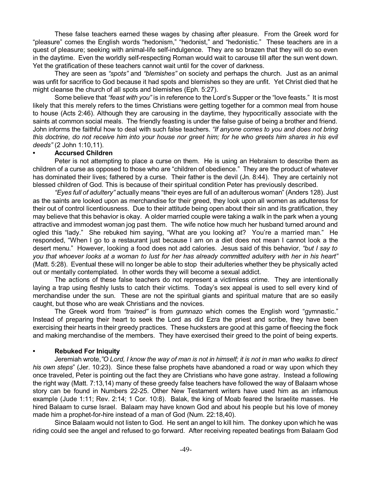These false teachers earned these wages by chasing after pleasure. From the Greek word for "pleasure" comes the English words "hedonism," "hedonist," and "hedonistic." These teachers are in a quest of pleasure; seeking with animal-life self-indulgence. They are so brazen that they will do so even in the daytime. Even the worldly self-respecting Roman would wait to carouse till after the sun went down. Yet the gratification of these teachers cannot wait until for the cover of darkness.

They are seen as *"spots"* and *"blemishes"* on society and perhaps the church. Just as an animal was unfit for sacrifice to God because it had spots and blemishes so they are unfit. Yet Christ died that he might cleanse the church of all spots and blemishes (Eph. 5:27).

Some believe that *"feast with you"* is in reference to the Lord's Supper or the "love feasts." It is most likely that this merely refers to the times Christians were getting together for a common meal from house to house (Acts 2:46). Although they are carousing in the daytime, they hypocritically associate with the saints at common social meals. The friendly feasting is under the false guise of being a brother and friend. John informs the faithful how to deal with such false teachers. *"If anyone comes to you and does not bring* this doctrine, do not receive him into your house nor greet him; for he who greets him shares in his evil *deeds"* (2 John 1:10,11).

#### **• Accursed Children**

Peter is not attempting to place a curse on them. He is using an Hebraism to describe them as children of a curse as opposed to those who are "children of obedience." They are the product of whatever has dominated their lives; fathered by a curse. Their father is the devil (Jn. 8:44). They are certainly not blessed children of God. This is because of their spiritual condition Peter has previously described.

*"Eyes full of adultery"* actually means "their eyes are full of an adulterous woman" (Anders 128). Just as the saints are looked upon as merchandise for their greed, they look upon all women as adulteress for their out of control licentiousness. Due to their attitude being open about their sin and its gratification, they may believe that this behavior is okay. A older married couple were taking a walk in the park when a young attractive and immodest woman jog past them. The wife notice how much her husband turned around and ogled this "lady." She rebuked him saying, "What are you looking at? You're a married man." He responded, "When I go to a restaurant just because I am on a diet does not mean I cannot look a the desert menu." However, looking a food does not add calories. Jesus said of this behavior, *"but I say to* you that whoever looks at a woman to lust for her has already committed adultery with her in his heart" (Matt. 5:28). Eventual these will no longer be able to stop their adulteries whether they be physically acted out or mentally contemplated. In other words they will become a sexual addict.

The actions of these false teachers do not represent a victimless crime. They are intentionally laying a trap using fleshly lusts to catch their victims. Today's sex appeal is used to sell every kind of merchandise under the sun. These are not the spiritual giants and spiritual mature that are so easily caught, but those who are weak Christians and the novices.

The Greek word from *"trained"* is from *gumnazo* which comes the English word "gymnastic." Instead of preparing their heart to seek the Lord as did Ezra the priest and scribe, they have been exercising their hearts in their greedy practices. These hucksters are good at this game of fleecing the flock and making merchandise of the members. They have exercised their greed to the point of being experts.

# **• Rebuked For Iniquity**

Jeremiah wrote, "O Lord, I know the way of man is not in himself; it is not in man who walks to direct *his own steps*" (Jer. 10:23). Since these false prophets have abandoned a road or way upon which they once traveled, Peter is pointing out the fact they are Christians who have gone astray. Instead a following the right way (Matt. 7:13,14) many of these greedy false teachers have followed the way of Balaam whose story can be found in Numbers 22-25. Other New Testament writers have used him as an infamous example (Jude 1:11; Rev. 2:14; 1 Cor. 10:8). Balak, the king of Moab feared the Israelite masses. He hired Balaam to curse Israel. Balaam may have known God and about his people but his love of money made him a prophet-for-hire instead of a man of God (Num. 22:18,40).

Since Balaam would not listen to God. He sent an angel to kill him. The donkey upon which he was riding could see the angel and refused to go forward. After receiving repeated beatings from Balaam God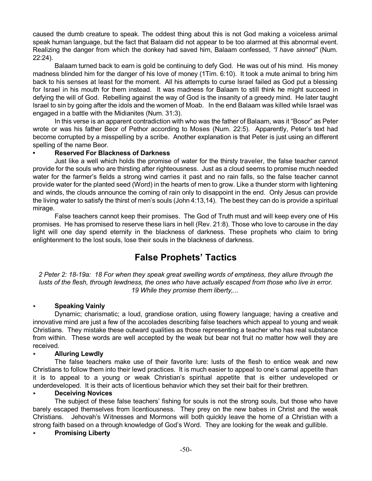caused the dumb creature to speak. The oddest thing about this is not God making a voiceless animal speak human language, but the fact that Balaam did not appear to be too alarmed at this abnormal event. Realizing the danger from which the donkey had saved him, Balaam confessed, *"I have sinned"* (Num. 22:24).

Balaam turned back to earn is gold be continuing to defy God. He was out of his mind. His money madness blinded him for the danger of his love of money (1Tim. 6:10). It took a mute animal to bring him back to his senses at least for the moment. All his attempts to curse Israel failed as God put a blessing for Israel in his mouth for them instead. It was madness for Balaam to still think he might succeed in defying the will of God. Rebelling against the way of God is the insanity of a greedy mind. He later taught Israel to sin by going after the idols and the women of Moab. In the end Balaam was killed while Israel was engaged in a battle with the Midianites (Num. 31:3).

In this verse is an apparent contradiction with who was the father of Balaam, was it "Bosor" as Peter wrote or was his father Beor of Pethor according to Moses (Num. 22:5). Apparently, Peter's text had become corrupted by a misspelling by a scribe. Another explanation is that Peter is just using an different spelling of the name Beor.

#### **• Reserved For Blackness of Darkness**

Just like a well which holds the promise of water for the thirsty traveler, the false teacher cannot provide for the souls who are thirsting after righteousness. Just as a cloud seems to promise much needed water for the farmer's fields a strong wind carries it past and no rain falls, so the false teacher cannot provide water for the planted seed (Word) in the hearts of men to grow. Like a thunder storm with lightening and winds, the clouds announce the coming of rain only to disappoint in the end. Only Jesus can provide the living water to satisfy the thirst of men's souls (John 4:13,14). The best they can do is provide a spiritual mirage.

False teachers cannot keep their promises. The God of Truth must and will keep every one of His promises. He has promised to reserve these liars in hell (Rev. 21:8). Those who love to carouse in the day light will one day spend eternity in the blackness of darkness. These prophets who claim to bring enlightenment to the lost souls, lose their souls in the blackness of darkness.

# **False Prophets' Tactics**

2 Peter 2: 18-19a: 18 For when they speak great swelling words of emptiness, they allure through the lusts of the flesh, through lewdness, the ones who have actually escaped from those who live in error. *19 While they promise them liberty,...*

# < **Speaking Vainly**

Dynamic; charismatic; a loud, grandiose oration, using flowery language; having a creative and innovative mind are just a few of the accolades describing false teachers which appeal to young and weak Christians. They mistake these outward qualities as those representing a teacher who has real substance from within. These words are well accepted by the weak but bear not fruit no matter how well they are received.

#### < **Alluring Lewdly**

The false teachers make use of their favorite lure: lusts of the flesh to entice weak and new Christians to follow them into their lewd practices. It is much easier to appeal to one's carnal appetite than it is to appeal to a young or weak Christian's spiritual appetite that is either undeveloped or underdeveloped. It is their acts of licentious behavior which they set their bait for their brethren.

#### < **Deceiving Novices**

The subject of these false teachers' fishing for souls is not the strong souls, but those who have barely escaped themselves from licentiousness. They prey on the new babes in Christ and the weak Christians. Jehovah's Witnesses and Mormons will both quickly leave the home of a Christian with a strong faith based on a through knowledge of God's Word. They are looking for the weak and gullible.

#### < **Promising Liberty**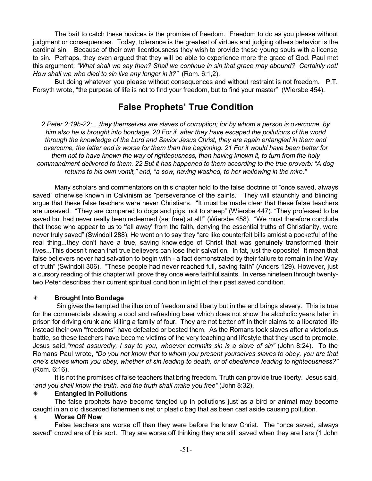The bait to catch these novices is the promise of freedom. Freedom to do as you please without judgment or consequences. Today, tolerance is the greatest of virtues and judging others behavior is the cardinal sin. Because of their own licentiousness they wish to provide these young souls with a license to sin. Perhaps, they even argued that they will be able to experience more the grace of God. Paul met this argument: *"What shall we say then? Shall we continue in sin that grace may abound? Certainly not! How shall we who died to sin live any longer in it?"* (Rom. 6:1,2).

But doing whatever you please without consequences and without restraint is not freedom. P.T. Forsyth wrote, "the purpose of life is not to find your freedom, but to find your master" (Wiersbe 454).

# **False Prophets' True Condition**

*2 Peter 2:19b-22: ...they themselves are slaves of corruption; for by whom a person is overcome, by* him also he is brought into bondage. 20 For if, after they have escaped the pollutions of the world *through the knowledge of the Lord and Savior Jesus Christ, they are again entangled in them and* overcome, the latter end is worse for them than the beginning. 21 For it would have been better for *them not to have known the way of righteousness, than having known it, to turn from the holy* commandment delivered to them. 22 But it has happened to them according to the true proverb: "A dog *returns to his own vomit," and, "a sow, having washed, to her wallowing in the mire."*

Many scholars and commentators on this chapter hold to the false doctrine of "once saved, always saved" otherwise known in Calvinism as "perseverance of the saints." They will staunchly and blinding argue that these false teachers were never Christians. "It must be made clear that these false teachers are unsaved. "They are compared to dogs and pigs, not to sheep" (Wiersbe 447). "They professed to be saved but had never really been redeemed (set free) at all!" (Wiersbe 458). "We must therefore conclude that those who appear to us to 'fall away' from the faith, denying the essential truths of Christianity, were never truly saved" (Swindoll 288). He went on to say they "are like counterfeit bills amidst a pocketful of the real thing...they don't have a true, saving knowledge of Christ that was genuinely transformed their lives...This doesn't mean that true believers can lose their salvation. In fat, just the opposite! It mean that false believers never had salvation to begin with - a fact demonstrated by their failure to remain in the Way of truth" (Swindoll 306). "These people had never reached full, saving faith" (Anders 129). However, just a cursory reading of this chapter will prove they once were faithful saints. In verse nineteen through twentytwo Peter describes their current spiritual condition in light of their past saved condition.

# u **Brought Into Bondage**

Sin gives the tempted the illusion of freedom and liberty but in the end brings slavery. This is true for the commercials showing a cool and refreshing beer which does not show the alcoholic years later in prison for driving drunk and killing a family of four. They are not better off in their claims to a liberated life instead their own "freedoms" have defeated or bested them. As the Romans took slaves after a victorious battle, so these teachers have become victims of the very teaching and lifestyle that they used to promote. Jesus said,*"most assuredly, I say to you, whoever commits sin is a slave of sin"* (John 8:24). To the Romans Paul wrote, *"Do you not know that to whom you present yourselves slaves to obey, you are that one's slaves whom you obey, whether of sin leading to death, or of obedience leading to righteousness?"* (Rom. 6:16).

It is not the promises of false teachers that bring freedom. Truth can provide true liberty. Jesus said, *"and you shall know the truth, and the truth shall make you free"* (John 8:32).

#### u **Entangled In Pollutions**

The false prophets have become tangled up in pollutions just as a bird or animal may become caught in an old discarded fishermen's net or plastic bag that as been cast aside causing pollution.

#### u **Worse Off Now**

False teachers are worse off than they were before the knew Christ. The "once saved, always saved" crowd are of this sort. They are worse off thinking they are still saved when they are liars (1 John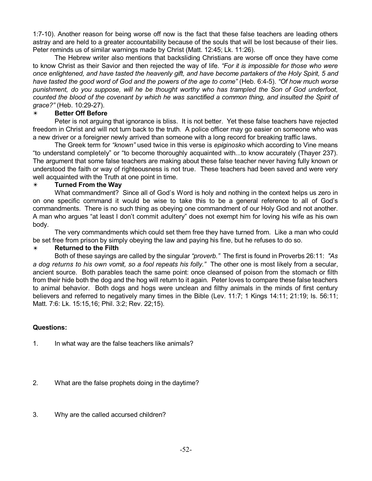1:7-10). Another reason for being worse off now is the fact that these false teachers are leading others astray and are held to a greater accountability because of the souls that will be lost because of their lies. Peter reminds us of similar warnings made by Christ (Matt. 12:45; Lk. 11:26).

The Hebrew writer also mentions that backsliding Christians are worse off once they have come to know Christ as their Savior and then rejected the way of life. *"For it is impossible for those who were* once enlightened, and have tasted the heavenly gift, and have become partakers of the Holy Spirit, 5 and have tasted the good word of God and the powers of the age to come" (Heb. 6:4-5). "Of how much worse *punishment, do you suppose, will he be thought worthy who has trampled the Son of God underfoot,* counted the blood of the covenant by which he was sanctified a common thing, and insulted the Spirit of *grace?"* (Heb. 10:29-27).

#### **Better Off Before**

Peter is not arguing that ignorance is bliss. It is not better. Yet these false teachers have rejected freedom in Christ and will not turn back to the truth. A police officer may go easier on someone who was a new driver or a foreigner newly arrived than someone with a long record for breaking traffic laws.

The Greek term for *"known"* used twice in this verse is *epiginosko* which according to Vine means "to understand completely" or "to become thoroughly acquainted with...to know accurately (Thayer 237). The argument that some false teachers are making about these false teacher never having fully known or understood the faith or way of righteousness is not true. These teachers had been saved and were very well acquainted with the Truth at one point in time.

#### u **Turned From the Way**

What commandment? Since all of God's Word is holy and nothing in the context helps us zero in on one specific command it would be wise to take this to be a general reference to all of God's commandments. There is no such thing as obeying one commandment of our Holy God and not another. A man who argues "at least I don't commit adultery" does not exempt him for loving his wife as his own body.

The very commandments which could set them free they have turned from. Like a man who could be set free from prison by simply obeying the law and paying his fine, but he refuses to do so.

# **Returned** to the Filth

Both of these sayings are called by the singular *"proverb."* The first is found in Proverbs 26:11: *"As a dog returns to his own vomit, so a fool repeats his folly."* The other one is most likely from a secular, ancient source. Both parables teach the same point: once cleansed of poison from the stomach or filth from their hide both the dog and the hog will return to it again. Peter loves to compare these false teachers to animal behavior. Both dogs and hogs were unclean and filthy animals in the minds of first century believers and referred to negatively many times in the Bible (Lev. 11:7; 1 Kings 14:11; 21:19; Is. 56:11; Matt. 7:6: Lk. 15:15,16; Phil. 3:2; Rev. 22;15).

# **Questions:**

1. In what way are the false teachers like animals?

- 2. What are the false prophets doing in the daytime?
- 3. Why are the called accursed children?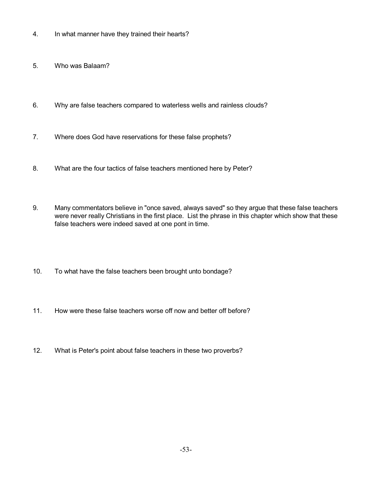- 4. In what manner have they trained their hearts?
- 5. Who was Balaam?
- 6. Why are false teachers compared to waterless wells and rainless clouds?
- 7. Where does God have reservations for these false prophets?
- 8. What are the four tactics of false teachers mentioned here by Peter?
- 9. Many commentators believe in "once saved, always saved" so they argue that these false teachers were never really Christians in the first place. List the phrase in this chapter which show that these false teachers were indeed saved at one pont in time.
- 10. To what have the false teachers been brought unto bondage?
- 11. How were these false teachers worse off now and better off before?
- 12. What is Peter's point about false teachers in these two proverbs?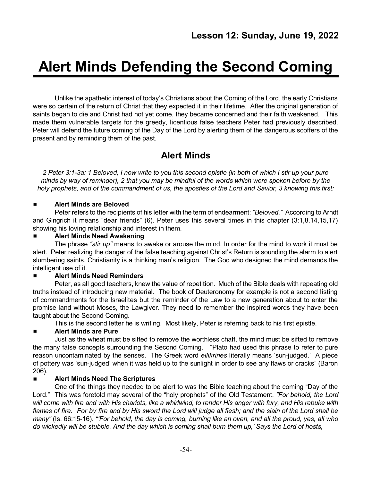# **Alert Minds Defending the Second Coming**

Unlike the apathetic interest of today's Christians about the Coming of the Lord, the early Christians were so certain of the return of Christ that they expected it in their lifetime. After the original generation of saints began to die and Christ had not yet come, they became concerned and their faith weakened. This made them vulnerable targets for the greedy, licentious false teachers Peter had previously described. Peter will defend the future coming of the Day of the Lord by alerting them of the dangerous scoffers of the present and by reminding them of the past.

# **Alert Minds**

2 Peter 3:1-3a: 1 Beloved, I now write to you this second epistle (in both of which I stir up your pure minds by way of reminder), 2 that you may be mindful of the words which were spoken before by the holy prophets, and of the commandment of us, the apostles of the Lord and Savior, 3 knowing this first:

# # **Alert Minds are Beloved**

Peter refers to the recipients of his letter with the term of endearment: *"Beloved."* According to Arndt and Gingrich it means "dear friends" (6). Peter uses this several times in this chapter (3:1,8,14,15,17) showing his loving relationship and interest in them.

#### # **Alert Minds Need Awakening**

The phrase *"stir up"* means to awake or arouse the mind. In order for the mind to work it must be alert. Peter realizing the danger of the false teaching against Christ's Return is sounding the alarm to alert slumbering saints. Christianity is a thinking man's religion. The God who designed the mind demands the intelligent use of it.

# # **Alert Minds Need Reminders**

Peter, as all good teachers, knew the value of repetition. Much of the Bible deals with repeating old truths instead of introducing new material. The book of Deuteronomy for example is not a second listing of commandments for the Israelites but the reminder of the Law to a new generation about to enter the promise land without Moses, the Lawgiver. They need to remember the inspired words they have been taught about the Second Coming.

This is the second letter he is writing. Most likely, Peter is referring back to his first epistle.

# # **Alert Minds are Pure**

Just as the wheat must be sifted to remove the worthless chaff, the mind must be sifted to remove the many false concepts surrounding the Second Coming. "Plato had used this phrase to refer to pure reason uncontaminated by the senses. The Greek word *eilikrines* literally means 'sun-judged.' A piece of pottery was 'sun-judged' when it was held up to the sunlight in order to see any flaws or cracks" (Baron 206).

# # **Alert Minds Need The Scriptures**

One of the things they needed to be alert to was the Bible teaching about the coming "Day of the Lord." This was foretold may several of the "holy prophets" of the Old Testament. *"For behold, the Lord* will come with fire and with His chariots, like a whirlwind, to render His anger with fury, and His rebuke with flames of fire. For by fire and by His sword the Lord will judge all flesh; and the slain of the Lord shall be *many"* (Is. 66:15-16). *"'For behold, the day is coming, burning like an oven, and all the proud, yes, all who* do wickedly will be stubble. And the day which is coming shall burn them up,' Says the Lord of hosts,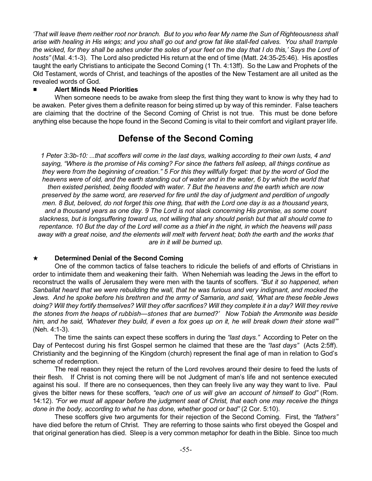'That will leave them neither root nor branch. But to you who fear My name the Sun of Righteousness shall arise with healing in His wings; and you shall go out and grow fat like stall-fed calves. You shall trample the wicked, for they shall be ashes under the soles of your feet on the day that I do this,' Says the Lord of *hosts"* (Mal. 4:1-3). The Lord also predicted His return at the end of time (Matt. 24:35-25:46). His apostles taught the early Christians to anticipate the Second Coming (1 Th. 4:13ff). So the Law and Prophets of the Old Testament, words of Christ, and teachings of the apostles of the New Testament are all united as the revealed words of God.

# # **Alert Minds Need Priorities**

When someone needs to be awake from sleep the first thing they want to know is why they had to be awaken. Peter gives them a definite reason for being stirred up by way of this reminder. False teachers are claiming that the doctrine of the Second Coming of Christ is not true. This must be done before anything else because the hope found in the Second Coming is vital to their comfort and vigilant prayer life.

# **Defense of the Second Coming**

1 Peter 3:3b-10: ...that scoffers will come in the last days, walking according to their own lusts, 4 and *saying, "Where is the promise of His coming? For since the fathers fell asleep, all things continue as* they were from the beginning of creation." 5 For this they willfully forget: that by the word of God the heavens were of old, and the earth standing out of water and in the water, 6 by which the world that *then existed perished, being flooded with water. 7 But the heavens and the earth which are now preserved by the same word, are reserved for fire until the day of judgment and perdition of ungodly* men. 8 But, beloved, do not forget this one thing, that with the Lord one day is as a thousand years, and a thousand years as one day. 9 The Lord is not slack concerning His promise, as some count *slackness, but is longsuffering toward us, not willing that any should perish but that all should come to* repentance. 10 But the day of the Lord will come as a thief in the night, in which the heavens will pass away with a great noise, and the elements will melt with fervent heat; both the earth and the works that *are in it will be burned up.*

# i **Determined Denial of the Second Coming**

One of the common tactics of false teachers to ridicule the beliefs of and efforts of Christians in order to intimidate them and weakening their faith. When Nehemiah was leading the Jews in the effort to reconstruct the walls of Jerusalem they were men with the taunts of scoffers. *"But it so happened, when* Sanballat heard that we were rebuilding the wall, that he was furious and very indignant, and mocked the Jews. And he spoke before his brethren and the army of Samaria, and said, 'What are these feeble Jews *doing? Will they fortify themselves? Will they offer sacrifices? Will they complete it in a day? Will they revive the stones from the heaps of rubbish—stones that are burned?' Now Tobiah the Ammonite was beside* him, and he said, 'Whatever they build, if even a fox goes up on it, he will break down their stone wall" (Neh. 4:1-3).

The time the saints can expect these scoffers in during the *"last days."* According to Peter on the Day of Pentecost during his first Gospel sermon he claimed that these are the *"last days"* (Acts 2:5ff). Christianity and the beginning of the Kingdom (church) represent the final age of man in relation to God's scheme of redemption.

The real reason they reject the return of the Lord revolves around their desire to feed the lusts of their flesh. If Christ is not coming there will be not Judgment of man's life and not sentence executed against his soul. If there are no consequences, then they can freely live any way they want to live. Paul gives the bitter news for these scoffers, *"each one of us will give an account of himself to God"* (Rom. 14:12). *"For we must all appear before the judgment seat of Christ, that each one may receive the things done in the body, according to what he has done, whether good or bad"* (2 Cor. 5:10).

These scoffers give two arguments for their rejection of the Second Coming. First, the *"fathers"* have died before the return of Christ. They are referring to those saints who first obeyed the Gospel and that original generation has died. Sleep is a very common metaphor for death in the Bible. Since too much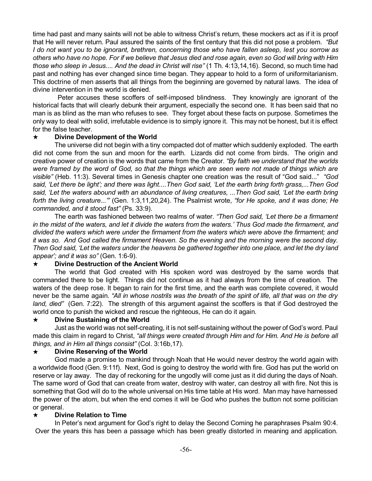time had past and many saints will not be able to witness Christ's return, these mockers act as if it is proof that He will never return. Paul assured the saints of the first century that this did not pose a problem. *"But* I do not want you to be ignorant, brethren, concerning those who have fallen asleep, lest you sorrow as others who have no hope. For if we believe that Jesus died and rose again, even so God will bring with Him *those who sleep in Jesus.... And the dead in Christ will rise"* (1 Th. 4:13,14,16). Second, so much time had past and nothing has ever changed since time began. They appear to hold to a form of uniformitarianism. This doctrine of men asserts that all things from the beginning are governed by natural laws. The idea of divine intervention in the world is denied.

Peter accuses these scoffers of self-imposed blindness. They knowingly are ignorant of the historical facts that will clearly debunk their argument, especially the second one. It has been said that no man is as blind as the man who refuses to see. They forget about these facts on purpose. Sometimes the only way to deal with solid, irrefutable evidence is to simply ignore it. This may not be honest, but it is effect for the false teacher.

#### i **Divine Development of the World**

The universe did not begin with a tiny compacted dot of matter which suddenly exploded. The earth did not come from the sun and moon for the earth. Lizards did not come from birds. The origin and creative power of creation is the words that came from the Creator. *"By faith we understand that the worlds* were framed by the word of God, so that the things which are seen were not made of things which are *visible"* (Heb. 11:3). Several times in Genesis chapter one creation was the result of "God said..." *"God* said, 'Let there be light'; and there was light....Then God said, 'Let the earth bring forth grass....Then God said, 'Let the waters abound with an abundance of living creatures, ... Then God said, 'Let the earth bring *forth the living creature...'"* (Gen. 1:3,11,20,24). The Psalmist wrote, *"for He spoke, and it was done; He commanded, and it stood fast"* (Ps. 33:9).

The earth was fashioned between two realms of water. *"Then God said, 'Let there be a firmament* in the midst of the waters, and let it divide the waters from the waters.' Thus God made the firmament, and *divided the waters which were under the firmament from the waters which were above the firmament; and* it was so. And God called the firmament Heaven. So the evening and the morning were the second day. Then God said, 'Let the waters under the heavens be gathered together into one place, and let the dry land *appear'; and it was so"* (Gen. 1:6-9).

# i **Divine Destruction of the Ancient World**

The world that God created with His spoken word was destroyed by the same words that commanded there to be light. Things did not continue as it had always from the time of creation. The waters of the deep rose. It began to rain for the first time, and the earth was complete covered, it would never be the same again. *"All in whose nostrils was the breath of the spirit of life, all that was on the dry land, died"* (Gen. 7:22). The strength of this argument against the scoffers is that if God destroyed the world once to punish the wicked and rescue the righteous, He can do it again.

#### i **Divine Sustaining of the World**

Just as the world was not self-creating, it is not self-sustaining without the power of God's word. Paul made this claim in regard to Christ, *"all things were created through Him and for Him. And He is before all things, and in Him all things consist"* (Col. 3:16b,17).

#### i **Divine Reserving of the World**

God made a promise to mankind through Noah that He would never destroy the world again with a worldwide flood (Gen. 9:11f). Next, God is going to destroy the world with fire. God has put the world on reserve or lay away. The day of reckoning for the ungodly will come just as it did during the days of Noah. The same word of God that can create from water, destroy with water, can destroy all with fire. Not this is something that God will do to the whole universal on His time table at His word. Man may have harnessed the power of the atom, but when the end comes it will be God who pushes the button not some politician or general.

#### i **Divine Relation to Time**

In Peter's next argument for God's right to delay the Second Coming he paraphrases Psalm 90:4. Over the years this has been a passage which has been greatly distorted in meaning and application.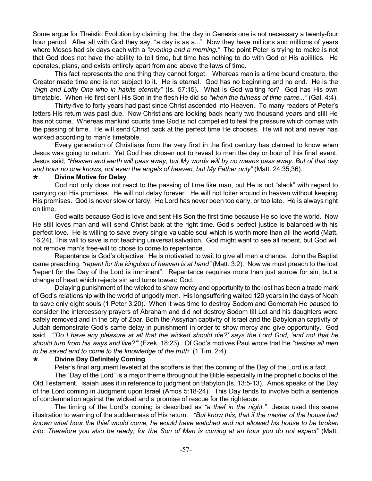Some argue for Theistic Evolution by claiming that the day in Genesis one is not necessary a twenty-four hour period. After all with God they say, "a day is as a..." Now they have millions and millions of years where Moses had six days each with a *"evening and a morning."* The point Peter is trying to make is not that God does not have the ability to tell time, but time has nothing to do with God or His abilities. He operates, plans, and exists entirely apart from and above the laws of time.

This fact represents the one thing they cannot forget. Whereas man is a time bound creature, the Creator made time and is not subject to it. He is eternal. God has no beginning and no end. He is the *"high and Lofty One who in habits eternity"* (Is. 57:15). What is God waiting for? God has His own timetable. When He first sent His Son in the flesh He did so *"when the fulness of time came..."* (Gal. 4:4).

Thirty-five to forty years had past since Christ ascended into Heaven. To many readers of Peter's letters His return was past due. Now Christians are looking back nearly two thousand years and still He has not come. Whereas mankind counts time God is not compelled to feel the pressure which comes with the passing of time. He will send Christ back at the perfect time He chooses. He will not and never has worked according to man's timetable.

Every generation of Christians from the very first in the first century has claimed to know when Jesus was going to return. Yet God has chosen not to reveal to man the day or hour of this final event. Jesus said, *"Heaven and earth will pass away, but My words will by no means pass away. But of that day and hour no one knows, not even the angels of heaven, but My Father only"* (Matt. 24:35,36).

#### i **Divine Motive for Delay**

God not only does not react to the passing of time like man, but He is not "slack" with regard to carrying out His promises. He will not delay forever. He will not loiter around in heaven without keeping His promises. God is never slow or tardy. He Lord has never been too early, or too late. He is always right on time.

God waits because God is love and sent His Son the first time because He so love the world. Now He still loves man and will send Christ back at the right time. God's perfect justice is balanced with his perfect love. He is willing to save every single valuable soul which is worth more than all the world (Matt. 16:24). This will to save is not teaching universal salvation. God might want to see all repent, but God will not remove man's free-will to chose to come to repentance.

Repentance is God's objective. He is motivated to wait to give all men a chance. John the Baptist came preaching, *"repent for the kingdom of heaven is at hand"* (Matt. 3:2). Now we must preach to the lost "repent for the Day of the Lord is imminent". Repentance requires more than just sorrow for sin, but a change of heart which rejects sin and turns toward God.

Delaying punishment of the wicked to show mercy and opportunity to the lost has been a trade mark of God's relationship with the world of ungodly men. His longsuffering waited 120 years in the days of Noah to save only eight souls (1 Peter 3:20). When it was time to destroy Sodom and Gomorrah He paused to consider the intercessory prayers of Abraham and did not destroy Sodom till Lot and his daughters were safely removed and in the city of Zoar. Both the Assyrian captivity of Israel and the Babylonian captivity of Judah demonstrate God's same delay in punishment in order to show mercy and give opportunity. God said, "Do I have any pleasure at all that the wicked should die?' says the Lord God, 'and not that he *should turn from his ways and live?'"* (Ezek. 18:23). Of God's motives Paul wrote that He *"desires all men to be saved and to come to the knowledge of the truth"* (1 Tim. 2:4).

#### i **Divine Day Definitely Coming**

Peter's final argument leveled at the scoffers is that the coming of the Day of the Lord is a fact.

The "Day of the Lord" is a major theme throughout the Bible especially in the prophetic books of the Old Testament. Isaiah uses it in reference to judgment on Babylon (Is. 13:5-13). Amos speaks of the Day of the Lord coming in Judgment upon Israel (Amos 5:18-24). This Day tends to involve both a sentence of condemnation against the wicked and a promise of rescue for the righteous.

The timing of the Lord's coming is described as *"a thief in the night."* Jesus used this same illustration to warning of the suddenness of His return. *"But know this, that if the master of the house had* known what hour the thief would come, he would have watched and not allowed his house to be broken into. Therefore you also be ready, for the Son of Man is coming at an hour you do not expect" (Matt.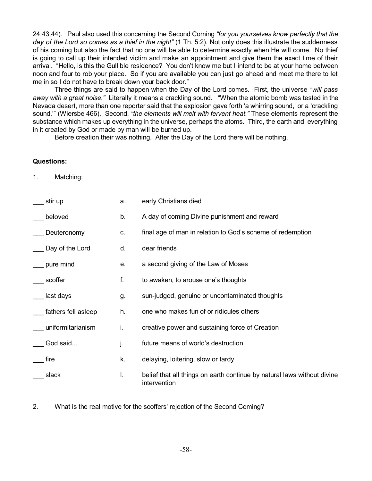24:43,44). Paul also used this concerning the Second Coming *"for you yourselves know perfectly that the day of the Lord so comes as a thief in the night"* (1 Th. 5:2). Not only does this illustrate the suddenness of his coming but also the fact that no one will be able to determine exactly when He will come. No thief is going to call up their intended victim and make an appointment and give them the exact time of their arrival. "Hello, is this the Gullible residence? You don't know me but I intend to be at your home between noon and four to rob your place. So if you are available you can just go ahead and meet me there to let me in so I do not have to break down your back door."

Three things are said to happen when the Day of the Lord comes. First, the universe *"will pass away with a great noise."* Literally it means a crackling sound. "When the atomic bomb was tested in the Nevada desert, more than one reporter said that the explosion gave forth 'a whirring sound,' or a 'crackling sound.'" (Wiersbe 466). Second, *"the elements will melt with fervent heat."* These elements represent the substance which makes up everything in the universe, perhaps the atoms. Third, the earth and everything in it created by God or made by man will be burned up.

Before creation their was nothing. After the Day of the Lord there will be nothing.

#### **Questions:**

1. Matching:

| stir up             | a. | early Christians died                                                                   |
|---------------------|----|-----------------------------------------------------------------------------------------|
| beloved             | b. | A day of coming Divine punishment and reward                                            |
| Deuteronomy         | C. | final age of man in relation to God's scheme of redemption                              |
| Day of the Lord     | d. | dear friends                                                                            |
| pure mind           | е. | a second giving of the Law of Moses                                                     |
| scoffer             | f. | to awaken, to arouse one's thoughts                                                     |
| last days           | g. | sun-judged, genuine or uncontaminated thoughts                                          |
| fathers fell asleep | h. | one who makes fun of or ridicules others                                                |
| uniformitarianism   | i. | creative power and sustaining force of Creation                                         |
| God said            | j. | future means of world's destruction                                                     |
| fire                | k. | delaying, loitering, slow or tardy                                                      |
| slack               | L. | belief that all things on earth continue by natural laws without divine<br>intervention |

2. What is the real motive for the scoffers' rejection of the Second Coming?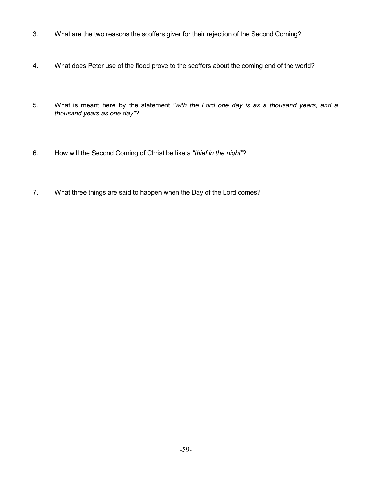- 3. What are the two reasons the scoffers giver for their rejection of the Second Coming?
- 4. What does Peter use of the flood prove to the scoffers about the coming end of the world?
- 5. What is meant here by the statement *"with the Lord one day is as a thousand years, and a thousand years as one day"*?
- 6. How will the Second Coming of Christ be like a *"thief in the night"*?
- 7. What three things are said to happen when the Day of the Lord comes?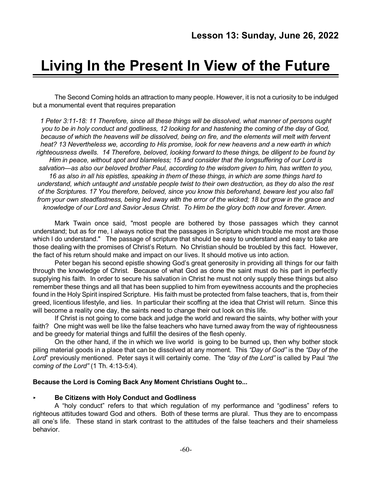# **Living In the Present In View of the Future**

The Second Coming holds an attraction to many people. However, it is not a curiosity to be indulged but a monumental event that requires preparation

*1 Peter 3:11-18: 11 Therefore, since all these things will be dissolved, what manner of persons ought* you to be in holy conduct and godliness, 12 looking for and hastening the coming of the day of God, *because of which the heavens will be dissolved, being on fire, and the elements will melt with fervent heat? 13 Nevertheless we, according to His promise, look for new heavens and a new earth in which righteousness dwells. 14 Therefore, beloved, looking forward to these things, be diligent to be found by Him in peace, without spot and blameless; 15 and consider that the longsuffering of our Lord is salvation—as also our beloved brother Paul, according to the wisdom given to him, has written to you,* 16 as also in all his epistles, speaking in them of these things, in which are some things hard to *understand, which untaught and unstable people twist to their own destruction, as they do also the rest of the Scriptures. 17 You therefore, beloved, since you know this beforehand, beware lest you also fall* from your own steadfastness, being led away with the error of the wicked; 18 but grow in the grace and *knowledge of our Lord and Savior Jesus Christ. To Him be the glory both now and forever. Amen.*

Mark Twain once said, "most people are bothered by those passages which they cannot understand; but as for me, I always notice that the passages in Scripture which trouble me most are those which I do understand." The passage of scripture that should be easy to understand and easy to take are those dealing with the promises of Christ's Return. No Christian should be troubled by this fact. However, the fact of his return should make and impact on our lives. It should motive us into action.

Peter began his second epistle showing God's great generosity in providing all things for our faith through the knowledge of Christ. Because of what God as done the saint must do his part in perfectly supplying his faith. In order to secure his salvation in Christ he must not only supply these things but also remember these things and all that has been supplied to him from eyewitness accounts and the prophecies found in the Holy Spirit inspired Scripture. His faith must be protected from false teachers, that is, from their greed, licentious lifestyle, and lies. In particular their scoffing at the idea that Christ will return. Since this will become a reality one day, the saints need to change their out look on this life.

If Christ is not going to come back and judge the world and reward the saints, why bother with your faith? One might was well be like the false teachers who have turned away from the way of righteousness and be greedy for material things and fulfill the desires of the flesh openly.

On the other hand, if the in which we live world is going to be burned up, then why bother stock piling material goods in a place that can be dissolved at any moment. This *"Day of God"* is the *"Day of the Lord*" previously mentioned. Peter says it will certainly come. The *"day of the Lord"* is called by Paul *"the coming of the Lord"* (1 Th. 4:13-5:4).

#### **Because the Lord is Coming Back Any Moment Christians Ought to...**

#### < **Be Citizens with Holy Conduct and Godliness**

A "holy conduct" refers to that which regulation of my performance and "godliness" refers to righteous attitudes toward God and others. Both of these terms are plural. Thus they are to encompass all one's life. These stand in stark contrast to the attitudes of the false teachers and their shameless behavior.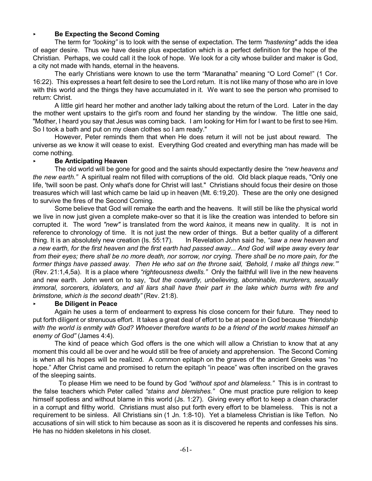#### < **Be Expecting the Second Coming**

The term for *"looking"* is to look with the sense of expectation. The term *"hastening"* adds the idea of eager desire. Thus we have desire plus expectation which is a perfect definition for the hope of the Christian. Perhaps, we could call it the look of hope. We look for a city whose builder and maker is God, a city not made with hands, eternal in the heavens.

The early Christians were known to use the term "Maranatha" meaning "O Lord Come!" (1 Cor. 16:22). This expresses a heart felt desire to see the Lord return. It is not like many of those who are in love with this world and the things they have accumulated in it. We want to see the person who promised to return: Christ.

A little girl heard her mother and another lady talking about the return of the Lord. Later in the day the mother went upstairs to the girl's room and found her standing by the window. The little one said, "Mother, I heard you say that Jesus was coming back. I am looking for Him for I want to be first to see Him. So I took a bath and put on my clean clothes so I am ready."

However, Peter reminds them that when He does return it will not be just about reward. The universe as we know it will cease to exist. Everything God created and everything man has made will be come nothing.

#### < **Be Anticipating Heaven**

The old world will be gone for good and the saints should expectantly desire the *"new heavens and the new earth."* A spiritual realm not filled with corruptions of the old. Old black plaque reads, "Only one life, 'twill soon be past. Only what's done for Christ will last." Christians should focus their desire on those treasures which will last which came be laid up in heaven (Mt. 6:19,20). These are the only one designed to survive the fires of the Second Coming.

Some believe that God will remake the earth and the heavens. It will still be like the physical world we live in now just given a complete make-over so that it is like the creation was intended to before sin corrupted it. The word *"new"* is translated from the word *kainos*, it means new in quality. It is not in reference to chronology of time. It is not just the new order of things. But a better quality of a different thing. It is an absolutely new creation (Is. 55:17). In Revelation John said he, *"saw a new heaven and* a new earth, for the first heaven and the first earth had passed away... And God will wipe away every tear from their eyes; there shall be no more death, nor sorrow, nor crying. There shall be no more pain, for the former things have passed away. Then He who sat on the throne said, 'Behold, I make all things new."" (Rev. 21:1,4,5a). It is a place where *"righteousness dwells."* Only the faithful will live in the new heavens and new earth. John went on to say, *"but the cowardly, unbelieving, abominable, murderers, sexually immoral, sorcerers, idolaters, and all liars shall have their part in the lake which burns with fire and brimstone, which is the second death"* (Rev. 21:8).

#### < **Be Diligent in Peace**

Again he uses a term of endearment to express his close concern for their future. They need to put forth diligent or strenuous effort. It takes a great deal of effort to be at peace in God because *"friendship* with the world is enmity with God? Whoever therefore wants to be a friend of the world makes himself an *enemy of God"* (James 4:4).

The kind of peace which God offers is the one which will allow a Christian to know that at any moment this could all be over and he would still be free of anxiety and apprehension. The Second Coming is when all his hopes will be realized. A common epitaph on the graves of the ancient Greeks was "no hope." After Christ came and promised to return the epitaph "in peace" was often inscribed on the graves of the sleeping saints.

To please Him we need to be found by God *"without spot and blameless."* This is in contrast to the false teachers which Peter called *"stains and blemishes."* One must practice pure religion to keep himself spotless and without blame in this world (Js. 1:27). Giving every effort to keep a clean character in a corrupt and filthy world. Christians must also put forth every effort to be blameless. This is not a requirement to be sinless. All Christians sin (1 Jn. 1:8-10). Yet a blameless Christian is like Teflon. No accusations of sin will stick to him because as soon as it is discovered he repents and confesses his sins. He has no hidden skeletons in his closet.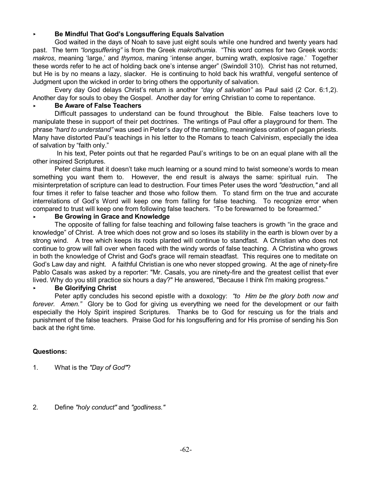# < **Be Mindful That God's Longsuffering Equals Salvation**

God waited in the days of Noah to save just eight souls while one hundred and twenty years had past. The term *"longsuffering"* is from the Greek *makrothumia*. "This word comes for two Greek words: *makros*, meaning 'large,' and *thymos*, maning 'intense anger, burning wrath, explosive rage.' Together these words refer to he act of holding back one's intense anger" (Swindoll 310). Christ has not returned, but He is by no means a lazy, slacker. He is continuing to hold back his wrathful, vengeful sentence of Judgment upon the wicked in order to bring others the opportunity of salvation.

Every day God delays Christ's return is another *"day of salvation"* as Paul said (2 Cor. 6:1,2). Another day for souls to obey the Gospel. Another day for erring Christian to come to repentance.

#### < **Be Aware of False Teachers**

Difficult passages to understand can be found throughout the Bible. False teachers love to manipulate these in support of their pet doctrines. The writings of Paul offer a playground for them. The phrase *"hard to understand"* was used in Peter's day of the rambling, meaningless oration of pagan priests. Many have distorted Paul's teachings in his letter to the Romans to teach Calvinism, especially the idea of salvation by "faith only."

In his text, Peter points out that he regarded Paul's writings to be on an equal plane with all the other inspired Scriptures.

Peter claims that it doesn't take much learning or a sound mind to twist someone's words to mean something you want them to. However, the end result is always the same: spiritual ruin. The misinterpretation of scripture can lead to destruction. Four times Peter uses the word *"destruction,"* and all four times it refer to false teacher and those who follow them. To stand firm on the true and accurate interrelations of God's Word will keep one from falling for false teaching. To recognize error when compared to trust will keep one from following false teachers. "To be forewarned to be forearmed."

#### < **Be Growing in Grace and Knowledge**

The opposite of falling for false teaching and following false teachers is growth "in the grace and knowledge" of Christ. A tree which does not grow and so loses its stability in the earth is blown over by a strong wind. A tree which keeps its roots planted will continue to standfast. A Christian who does not continue to grow will fall over when faced with the windy words of false teaching. A Christina who grows in both the knowledge of Christ and God's grace will remain steadfast. This requires one to meditate on God's Law day and night. A faithful Christian is one who never stopped growing. At the age of ninety-fire Pablo Casals was asked by a reporter: "Mr. Casals, you are ninety-fire and the greatest cellist that ever lived. Why do you still practice six hours a day?" He answered, "Because I think I'm making progress."

# < **Be Glorifying Christ**

Peter aptly concludes his second epistle with a doxology: *"to Him be the glory both now and forever. Amen."* Glory be to God for giving us everything we need for the development or our faith especially the Holy Spirit inspired Scriptures. Thanks be to God for rescuing us for the trials and punishment of the false teachers. Praise God for his longsuffering and for His promise of sending his Son back at the right time.

# **Questions:**

- 1. What is the *"Day of God"*?
- 2. Define *"holy conduct"* and *"godliness."*